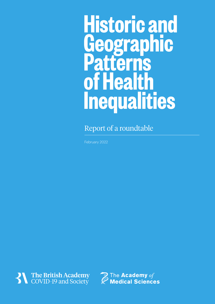# **Historic and Geographic Patterns of Health Inequalities**

Report of a roundtable

February 2022



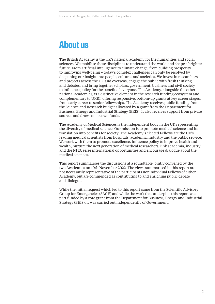### **About us**

The British Academy is the UK's national academy for the humanities and social sciences. We mobilise these disciplines to understand the world and shape a brighter future. From artificial intelligence to climate change, from building prosperity to improving well-being – today's complex challenges can only be resolved by deepening our insight into people, cultures and societies. We invest in researchers and projects across the UK and overseas, engage the public with fresh thinking and debates, and bring together scholars, government, business and civil society to influence policy for the benefit of everyone. The Academy, alongside the other national academies, is a distinctive element in the research funding ecosystem and complementary to UKRI, offering responsive, bottom-up grants at key career stages, from early career to senior fellowships. The Academy receives public funding from the Science and Research budget allocated by a grant from the Department for Business, Energy and Industrial Strategy (BEIS). It also receives support from private sources and draws on its own funds.

The Academy of Medical Sciences is the independent body in the UK representing the diversity of medical science. Our mission is to promote medical science and its translation into benefits for society. The Academy's elected Fellows are the UK's leading medical scientists from hospitals, academia, industry and the public service. We work with them to promote excellence, influence policy to improve health and wealth, nurture the next generation of medical researchers, link academia, industry and the NHS, seize international opportunities and encourage dialogue about the medical sciences.

This report summarises the discussions at a roundtable jointly convened by the two Academies on 10th November 2022. The views summarised in this report are not necessarily representative of the participants nor individual Fellows of either Academy, but are commended as contributing to and enriching public debate and dialogue.

While the initial request which led to this report came from the Scientific Advisory Group for Emergencies (SAGE) and while the work that underpins this report was part funded by a core grant from the Department for Business, Energy and Industrial Strategy (BEIS), it was carried out independently of Government.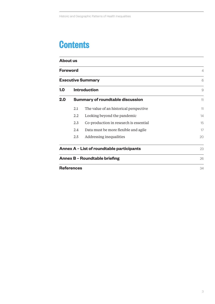### **Contents**

| About us<br><b>Foreword</b><br>4 |                                         |                                           |    |  |                               |
|----------------------------------|-----------------------------------------|-------------------------------------------|----|--|-------------------------------|
|                                  |                                         |                                           |    |  | <b>Executive Summary</b><br>6 |
| 1.0                              |                                         | <b>Introduction</b>                       | 9  |  |                               |
| 2.0                              | <b>Summary of roundtable discussion</b> |                                           | 11 |  |                               |
|                                  | 2.1                                     | The value of an historical perspective    | 11 |  |                               |
|                                  | 2.2                                     | Looking beyond the pandemic               | 14 |  |                               |
|                                  | 2.3                                     | Co-production in research is essential    | 15 |  |                               |
|                                  | 2.4                                     | Data must be more flexible and agile      | 17 |  |                               |
|                                  | 2.5                                     | Addressing inequalities                   | 20 |  |                               |
|                                  |                                         | Annex A - List of roundtable participants | 23 |  |                               |
|                                  |                                         | <b>Annex B - Roundtable briefing</b>      | 26 |  |                               |
|                                  | <b>References</b>                       |                                           | 34 |  |                               |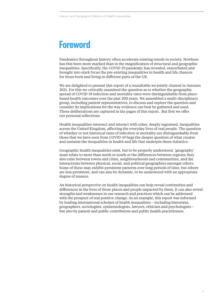### **Foreword**

Pandemics throughout history often accelerate existing trends in society. Nowhere has this been more marked than in the magnification of structural and geographic inequalities. Specifically, the COVID-19 pandemic has revealed, exacerbated and brought into stark focus the pre-existing inequalities in health and life chances for those born and living in different parts of the UK.

We are delighted to present this report of a roundtable we jointly chaired in Autumn 2021. For this we critically examined the question as to whether the geographic spread of COVID-19 infection and mortality rates were distinguishable from placebased health outcomes over the past 200 years. We assembled a multi-disciplinary group, including patient representatives, to discuss and explore the question and consider its implications for the way evidence can best be gathered and used. These deliberations are captured in the pages of this report. But first we offer our personal reflections.

Health inequalities intersect and interact with other, deeply ingrained, inequalities across the United Kingdom, affecting the everyday lives of real people. The question of whether or not historical rates of infection or mortality are distinguishable from those that we have seen from COVID-19 begs the deeper question of what creates and sustains the inequalities in health and life that underpin these statistics.

Geographic health inequalities exist, but to be properly understood, 'geography' must relate to more than north or south or the differences between regions; they also exist between towns and cities, neighbourhoods and communities, and the interactions between physical, social, and political geographies amongst others. Some of these may exhibit persistent patterns over long periods of time, but others are less persistent, and can also be dynamic, to be understood with an appropriate degree of nuance.

An historical perspective on health inequalities can help reveal continuities and differences in the lives of those places and people impacted by them. It can also reveal strengths and weaknesses in our research and practices which can be addressed with the prospect of real positive change. As an example, this report was informed by leading international scholars of health inequalities – including historians, geographers, sociologists, epidemiologists, lawyers, ethicists and psychologists – but also by patient and public contributors and public health practitioners.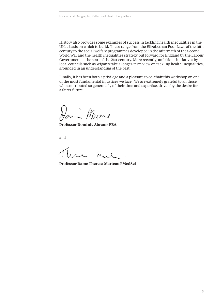History also provides some examples of success in tackling health inequalities in the UK, a basis on which to build. These range from the Elizabethan Poor Laws of the 16th century to the social welfare programmes developed in the aftermath of the Second World War and the health inequalities strategy put forward for England by the Labour Government at the start of the 21st century. More recently, ambitious initiatives by local councils such as Wigan's take a longer-term view on tackling health inequalities, grounded in an understanding of the past.

Finally, it has been both a privilege and a pleasure to co-chair this workshop on one of the most fundamental injustices we face. We are extremely grateful to all those who contributed so generously of their time and expertise, driven by the desire for a fairer future.

ms

**Professor Dominic Abrams FBA** 

and

**Professor Dame Theresa Marteau FMedSci**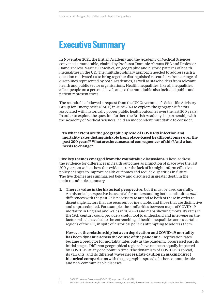### **Executive Summary**

In November 2021, the British Academy and the Academy of Medical Sciences convened a roundtable, chaired by Professor Dominic Abrams FBA and Professor Dame Theresa Marteau FMedSci, on geographic and historic patterns of health inequalities in the UK. The multidisciplinary approach needed to address such a question motivated us to bring together distinguished researchers from a range of disciplines represented by both Academies, as well as stakeholders from relevant health and public sector organisations. Health inequalities, like all inequalities, affect people on a personal level, and so the roundtable also included public and patient representatives.

The roundtable followed a request from the UK Government's Scientific Advisory Group for Emergencies (SAGE) in June 2021 to explore the geographic factors associated with historically poorer public health outcomes over the last 200 years.<sup>1</sup> In order to explore the question further, the British Academy, in partnership with the Academy of Medical Sciences, held an independent roundtable to consider:

**To what extent are the geographic spread of COVID-19 infection and mortality rates distinguishable from place-based health outcomes over the past 200 years?2 What are the causes and consequences of this? And what needs to change?** 

**Five key themes emerged from the roundtable discussions.** These address the evidence for differences in health outcomes as a function of place over the last 200 years, as well as how this evidence (or the lack of it) might inform effective policy changes to improve health outcomes and reduce disparities in future. The five themes are summarised below and discussed in greater depth in the main roundtable summary.

**1. There is value in the historical perspective,** but it must be used carefully. An historical perspective is essential for understanding both continuities *and* differences with the past. It is necessary to attend to both of these in order to disentangle factors that are recurrent or inevitable, and those that are distinctive and unprecedented. For example, the similarities between maps of COVID-19 mortality in England and Wales in 2020–21 and maps showing mortality rates in the 19th century could provide a useful tool to understand and intervene on the factors which have led to the entrenching of health inequalities across certain regions of the UK, in spite of historical policies attempting to address them.

However, **the relationship between deprivation and COVID-19 mortality has been dynamic across the course of the pandemic.** Deprivation rates became a predictor for mortality rates only as the pandemic progressed past its initial stages. Different geographical regions have not been equally impacted by COVID-19 at any one point in time. The dynamism of COVID-19's spread, its variants, and its different waves **necessitate caution in making direct historical comparisons** with the geographic spread of other communicable and non-communicable diseases.

<sup>1</sup> [SAGE 87 minutes: Coronavrius \(COVID-19\) response, 22 April 2021.](https://www.gov.uk/government/publications/sage-87-minutes-coronavirus-covid-19-response-22-april-2021/sage-87-minutes-coronavirus-covid-19-response-22-april-2021)

<sup>2</sup> Note that both elements might have different drivers, and certainly the severity of the disease might vary but not lead to mortality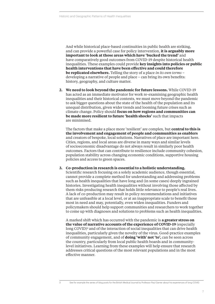And while historical place-based continuities in public health are striking, and can provide a powerful case for policy intervention, **it is arguably more important to look at those areas which have 'bucked the trend'** and have comparatively good outcomes from COVID-19 despite historical health inequalities. These examples could provide **key insights into policies or public health interventions that have been effective and could therefore be replicated elsewhere.** Telling the story of a place *in its own terms* – developing a narrative of people and place – can bring its own benefits: history, geography, and culture matter.

**2. We need to look beyond the pandemic for future lessons.** While COVID-19 has acted as an immediate motivator for work re-examining geographic health inequalities and their historical contexts, we must move beyond the pandemic to ask bigger questions about the state of the health of the population and its unequal distribution, given wider trends and looming future crises such as climate change. Policy should **focus on how regions and communities can be made more resilient to future 'health shocks'** such that impacts are minimised.

The factors that make a place more 'resilient' are complex, but **central to this is the involvement and engagement of people and communities as enablers** and creators of bespoke, local solutions. Narratives of place are important here. Cities, regions, and local areas are diverse in many ways and similar levels of socioeconomic disadvantage do not always result in similarly poor health outcomes. Factors that can contribute to resilience include community cohesion, population stability across changing economic conditions, supportive housing policies and access to green spaces.

#### **3. Co-production in research is essential to a holistic understanding.**

Scientific research focusing on a solely academic audience, though essential, cannot provide a complete method for understanding and addressing problems such as health inequalities that have long and (in some cases) deeply ingrained histories. Investigating health inequalities without involving those affected by them risks producing research that holds little relevance to people's real lives. A lack of co-production may result in policy recommendations and initiatives that are unfeasible at a local level, or at an inappropriate scale to benefit those most in need and may, potentially, even widen inequalities. Funders and policymakers should help support communities and researchers to work together to come up with diagnoses and solutions to problems such as health inequalities.

A marked shift which has occurred with the pandemic is **a greater stress on the value of narrative accounts of the experience of COVID-19** (especially long COVID)<sup>3</sup> and of the interaction of social inequalities that can drive health inequalities, particularly given the novelty of the virus. Good-practice examples of community engagement, and of **doing 'with' not 'to',** can be seen across the country, particularly from local public health boards and in communitylevel initiatives. Learning from these examples will help ensure that research addresses critical questions of the most relevant populations and in the most effective manner.

<sup>3</sup> See for example the series of blog posts for the British Medical Journal by [Professor Paul Garner about his experiences of long COVID](https://blogs.bmj.com/bmj/2021/01/25/paul-garner-on-his-recovery-from-long-covid/).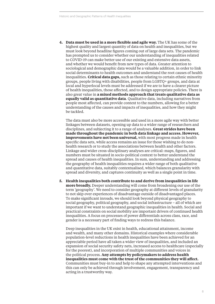**4. Data must be used in a more flexible and agile way.** The UK has some of the highest quality and largest quantity of data on health and inequalities, but we must look beyond headline figures coming out of large data sets. The pandemic has prompted us to consider whether our understanding of inequalities related to COVID-19 can make better use of our existing and extensive data assets, and whether we would benefit from new types of data. Greater attention to sociological and demographic data would be a valuable addition, in order to link social determinants to health outcomes and understand the root causes of health inequalities. **Critical data gaps,** such as those relating to certain ethnic minority groups, people living with disabilities, people from LGBTQ+ groups, and data at local and hyperlocal levels must be addressed if we are to have a clearer picture of health inequalities, those affected, and to design appropriate policies. There is also great value in **a mixed methods approach that treats qualitative data as equally valid as quantitative data**. Qualitative data, including narratives from people most affected, can provide context to the numbers, allowing for a better understanding of the causes and impacts of inequalities, and how they might be tackled.

The data must also be more accessible and used in a more agile way with better linkages between datasets, opening up data to a wider range of researchers and disciplines, and subjecting it to a range of analyses. **Great strides have been made throughout the pandemic in both data linkage and access. However, improvements have not been universal,** with most progress made in health specific data sets, while access remains an issue for those wishing to do nonhealth research or to study the associations between health and other factors. Linkage and wider cross-disciplinary analyses are critical: maps, figures, and numbers must be situated in socio-political context to better understand the spread and causes of health inequalities. In sum, understanding and addressing the geography of health inequalities requires a wider range of both qualitative and quantitative data, suitably contextualised, which balances granularity with spread and diversity, and captures continuity as well as a single point in time.

**5. Health inequalities both contribute to and derive from inequalities in life more broadly.** Deeper understanding will come from broadening our use of the term 'geography'. We need to consider geography at different levels of granularity to not skip over experiences of disadvantage outside of disadvantaged places. To make significant inroads, we should look beyond physical geography to social geography, political geography, and social infrastructure – all of which are important if we want to understand geographic inequalities in health. Social and practical constraints on social mobility are important drivers of continued health inequalities. A focus on processes of power differentials across class, race, and gender is a necessary part of finding ways to redress this balance.

Deep inequalities in the UK exist in health, educational attainment, income and wealth, and many other domains. Historical examples where considerable population-level reductions in health inequalities have been achieved for an appreciable period have all taken a wider view of inequalities, and included an expansion of social security safety nets, increased access to healthcare (especially for the poorest), and incorporation of multiple communities and voices in the political process. **Any attempts by policymakers to address health inequalities must come with the trust of the communities they will affect.** Communities must buy-in to and help to shape any attempted interventions and this can only be achieved through involvement, engagement, transparency and acting in a trustworthy way.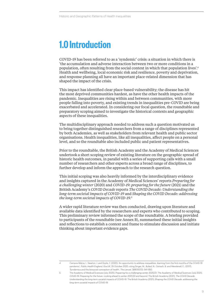### **1.0 Introduction**

COVID-19 has been referred to as a 'syndemic' crisis: a situation in which there is 'the accumulation and adverse interaction between two or more conditions in a population, often resulting from the social context in which that population lives'.4 Health and wellbeing, local economic risk and resilience, poverty and deprivation, and response planning all have an important place-related dimension that has shaped the impact of the crisis.

This impact has identified clear place-based vulnerability; the disease has hit the most deprived communities hardest, as have the other health impacts of the pandemic. Inequalities are rising within and between communities, with more people falling into poverty, and existing trends in inequalities pre-COVID are being exacerbated and accelerated. In considering our focal question, the roundtable and preparatory scoping aimed to investigate the historical contexts and geographic aspects of these inequalities.

The multidisciplinary approach needed to address such a question motivated us to bring together distinguished researchers from a range of disciplines represented by both Academies, as well as stakeholders from relevant health and public sector organisations. Health inequalities, like all inequalities, affect people on a personal level, and so the roundtable also included public and patient representatives.

Prior to the roundtable, the British Academy and the Academy of Medical Sciences undertook a short scoping review of existing literature on the geographic spread of historic health outcomes, in parallel with a series of supporting calls with a small number of researchers and other experts across a broad range of disciplines, to further develop and inform the approach to the research question.

This initial scoping was also heavily informed by the interdisciplinary evidence and insights captured in the Academy of Medical Sciences' reports *Preparing for a challenging winter* (2020) and *COVID-19: preparing for the future* (2021) and the British Academy's *COVID Decade* reports *The COVID Decade: Understanding the long-term societal impacts of COVID-19* and *Shaping the COVID Decade: addressing the long-term societal impacts of COVID-19.*<sup>5</sup>

A wider rapid literature review was then conducted, drawing upon literature and available data identified by the researchers and experts who contributed to scoping. This preliminary review informed the scope of the roundtable. A briefing provided to participants of the roundtable (see Annex B), summarised these initial insights and reflections to establish a context and frame to stimulate discussion and initiate thinking about important evidence gaps.

<sup>4</sup> Campos-Matos, I., Newton, J. and Doyle, Y. (2020), ['An opportunity to address inequalities: learning from the first months of the COVID-19](https://ukhsa.blog.gov.uk/2020/10/29/an-opportunity-to-address-inequalities-learning-from-the-first-months-of-the-covid-19-pandemic/)  [pandemic](https://ukhsa.blog.gov.uk/2020/10/29/an-opportunity-to-address-inequalities-learning-from-the-first-months-of-the-covid-19-pandemic/)', *Public Health England, Gov.UK*, 29 October 2020, citing Singer, M., Bulled, N., Ostrach, B. and Mendenall, E., (2017), ['Syndemics and the biosocial conception of health](https://pubmed.ncbi.nlm.nih.gov/28271845/)', *The Lancet,* 389(10072): 941-950.

<sup>5</sup> The Academy of Medical Sciences (July 2020), *[Preparing for a challenging winter 2020/21;](https://acmedsci.ac.uk/policy/policy-projects/coronavirus-preparing-for-challenges-this-winter)* The Academy of Medical Sciences (July 2021), *[COVID-19: Preparing for the future. Looking ahead to winter 2021/22 and beyond](https://acmedsci.ac.uk/more/news/winter-viruses-and-covid-19-could-push-nhs-to-breaking-point-warns-new-report);* The British Academy (2021), *[The COVID Decade:](https://www.thebritishacademy.ac.uk/publications/covid-decade-understanding-the-long-term-societal-impacts-of-covid-19/)  [Understanding the long-term societal impacts of COVID-19](https://www.thebritishacademy.ac.uk/publications/covid-decade-understanding-the-long-term-societal-impacts-of-covid-19/).* The British Academy (2021), *[Shaping the COVID Decade: addressing the](https://www.thebritishacademy.ac.uk/publications/shaping-the-covid-decade-addressing-the-long-term-societal-impacts-of-covid-19/)  [long-term societal impacts of COVID-19.](https://www.thebritishacademy.ac.uk/publications/shaping-the-covid-decade-addressing-the-long-term-societal-impacts-of-covid-19/)*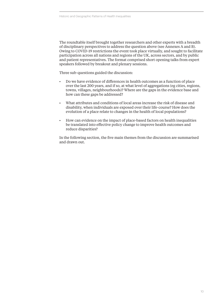The roundtable itself brought together researchers and other experts with a breadth of disciplinary perspectives to address the question above (see Annexes A and B). Owing to COVID-19 restrictions the event took place virtually, and sought to facilitate participation across all nations and regions of the UK, across sectors, and by public and patient representatives. The format comprised short opening talks from expert speakers followed by breakout and plenary sessions.

Three sub-questions guided the discussion:

- Do we have evidence of differences in health outcomes as a function of place over the last 200 years, and if so, at what level of aggregations (eg cities, regions, towns, villages, neighbourhoods)? Where are the gaps in the evidence base and how can these gaps be addressed?
- What attributes and conditions of local areas increase the risk of disease and disability, when individuals are exposed over their life-course? How does the evolution of a place relate to changes in the health of local populations?
- How can evidence on the impact of place-based factors on health inequalities be translated into effective policy change to improve health outcomes and reduce disparities?

In the following section, the five main themes from the discussion are summarised and drawn out.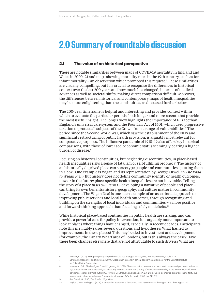### **2.0 Summary of roundtable discussion**

#### **2.1 The value of an historical perspective**

There are notable similarities between maps of COVID-19 mortality in England and Wales in 2020–21 and maps showing mortality rates in the 19th century, such as for infant mortality – an observation which prompted this request.<sup>6</sup> These similarities are visually compelling, but it is crucial to recognise the differences in historical context over the last 200 years and how much has changed, in terms of medical advances as well as societal shifts, making direct comparison difficult. Moreover, the differences between historical and contemporary maps of health inequalities may be more enlightening than the continuities, as discussed further below.

The 200-year timeframe is helpful and interesting and provides context within which to evaluate the particular periods, both longer and more recent, that provide the most useful insight. The longer view highlights the importance of Elizabethan England's universal care system and the Poor Law Act of 1601, which used progressive taxation to protect all subjects of the Crown from a range of vulnerabilities.7 The period since the Second World War, which saw the establishment of the NHS and significant restructuring of public health provision, is arguably most relevant for comparative purposes. The influenza pandemic of 1918–19 also offers key historical comparisons, with those of lower socioeconomic status seemingly bearing a higher burden of disease.<sup>8</sup>

Focusing on historical continuities, but neglecting discontinuities, in place-based health inequalities risks a sense of fatalism or self-fulfilling prophecy. The history of an historically deprived place can stereotype people and communities, 'putting them in a box'. One example is Wigan and its representation by George Orwell in *The Road to Wigan Pier.*9 But history does not define community identity or health outcomes, now or in the future; place-specific health inequalities are not inevitable. Telling the story of a place *in its own terms* – developing a narrative of people and place – can bring its own benefits: history, geography, and culture matter in community development. The Wigan Deal is one such example of an asset-based approach to improving public services and local health outcomes, through recognising and building on the strengths of local individuals and communities – a more positive and forward-thinking approach than focusing solely on deficits.<sup>10</sup>

While historical place-based continuities in public health are striking, and can provide a powerful case for policy intervention, it is arguably more important to look at places where things have changed, especially in recent decades. Participants note this inevitably raises several questions and hypotheses: What has led to improvements in these places? This may be tied to investment and development (for example, the Canary Wharf area of London), but is this always the case? Have there been changes elsewhere that are not attributable to such drivers? What are

<sup>6</sup> Jeavans, C. (2021), ['Dying too young: Maps show little has changed in 170 years'](https://www.bbc.co.uk/news/health-57730353), BBC News article, 8 July 2021.

<sup>7</sup> Szreter, B., Cooper, H. and Szreter, S. (2019), '[Elizabethan lessons in ethical economics'](https://www.bennettinstitute.cam.ac.uk/blog/elizabethan-lessons-ethical-economics/), Blog post for the Bennett Institute for Public Policy, Cambridge.

<sup>8</sup> Mamelund, S-E., Shelley-Egan, C. and Rogeberg, O. (2021), ['The association between socioeconomic status and pandemic influenza:](https://journals.plos.org/plosone/article?id=10.1371/journal.pone.0244346)  [Systematic review and meta-analysis](https://journals.plos.org/plosone/article?id=10.1371/journal.pone.0244346)', *Plos One,* 16(9): e0244346. For a study of variations in mortality in the (H1N1) 2009 influenza pandemic, see for example Rutter, P.D., Mytton, O.T., Mak, M. and Donaldson, L. L. (2012). 'Socio-economic disparities in mortality due [to pandemic influenza in England](https://pubmed.ncbi.nlm.nih.gov/22297400/)', *International Journal of Public Health,* 57(4), pp. 745-750.

<sup>9</sup> See Orwell, G. (1937), *The Road to Wigan Pier.*

<sup>10</sup> Naylor, C. and Wellings, D. (2019), *[A citizen-led approach to health and care. Lessons from the Wigan Deal,](https://www.kingsfund.org.uk/publications/wigan-deal)* The King's Fund.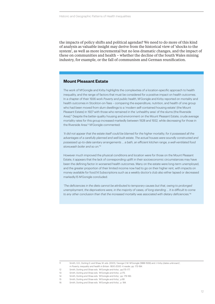the impacts of policy shifts and political agendas? We need to do more of this kind of analysis as valuable insight may derive from the historical view of 'shocks to the system', as well as more incremental but no less dramatic changes, and the impact of these on communities and health – whether the decline of the South Wales mining industry, for example, or the fall of communism and German reunification.

#### **Mount Pleasant Estate**

The work of M'Gonigle and Kirby highlights the complexities of a location-specific approach to health inequality, and the range of factors that must be considered for a positive impact on health outcomes. In a chapter of their 1936 work *Poverty and public health*, M'Gonigle and Kirby reported on mortality and health outcomes in Stockton-on-Tees – comparing the expenditure, nutrition, and health of one group who had been moved from slum dwellings to a 'modern self-contained housing estate' (the Mount Pleasant Estate) in 1927 with those who remained in the 'unhealthy area' of the slums (the Riverside Area).11 Despite the better-quality housing and environment on the Mount Pleasant Estate, crude average mortality rates for this group increased markedly between 1928 and 1932, while decreasing for those in the Riverside Area.12 M'Gonigle commented:

*'It did not appear that the estate itself could be blamed for the higher mortality, for it possessed all the advantages of a carefully planned and well-built estate. The actual houses were soundly constructed and possessed up-to-date sanitary arrangements … a bath, an efficient kitchen range, a well-ventilated food store,wash boiler and so on.'*<sup>13</sup>

However much improved the physical conditions and location were for those on the Mount Pleasant Estate, it appears that the lack of corresponding uplift in their socioeconomic circumstances may have been the defining factor in worsened health outcomes. Many on the estate were long-term unemployed, and the greater proportion of their limited income now had to go on their higher rent, with impacts on money available for food.14 Subscriptions such as a weekly doctor's club also either lapsed or decreased markedly.15 M'Gonigle concluded:

*'The deficiencies in the diets cannot be attributed to temporary causes but that, owing to prolonged unemployment, the deprivations were, in the majority of cases, of long standing … It is difficult to come*  to any other conclusion than that the increased mortality was associated with dietary deficiencies.<sup>16</sup>

- 12 Smith, Dorling and Shaw eds. 'M'Gonigle and Kirby', pp.175-177.
- 13 Smith, Dorling and Shaw eds. 'M'Gonigle and Kirby', p.175.
- 14 Smith, Dorling and Shaw eds. 'M'Gonigle and Kirby', pp. 179-183.

<sup>11</sup> Smith, G.D., Dorling D. and Shaw, M. eds. (2001), 'George C.M. M'Gonigle (1888-1939) and J. Kirby (dates unknown)',

in *Poverty, inequality and health in Britain: 1800-2000: A reader,* pp. 173-184.

<sup>15</sup> Smith, Dorling and Shaw eds. 'M'Gonigle and Kirby', p.181.

<sup>16</sup> Smith, Dorling and Shaw eds. 'M'Gonigle and Kirby', p. 184.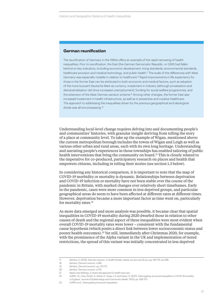#### **German reunification**

The reunification of Germany in the 1990s offers an example of the rapid narrowing of health inequalities. Prior to reunification, the East (the German Democratic Republic, or GDR) had fallen behind on key indicators, including economic development, living standards, environmental standards, healthcare provision and medical technology, and public health.17 The scale of the differences with West Germany was especially notable in relation to healthcare.18 Rapid improvements in life expectancy for those in the former East can be attributed to both economic and medical factors, such as adoption of the more buoyant Deutsche Mark as currency, investment in industry (although privatisation and deindustrialisation did drive increased unemployment), funding for social welfare programmes, and the extension of the West German pension scheme.19 Among other changes, the former East saw increased investment in health infrastructure, as well as in preventive and curative healthcare. The approach to addressing the inequalities driven by the previous geographical and ideological divide was all-encompassing.20

Understanding local-level change requires delving into and documenting people's and communities' histories, with granular insight deriving from telling the story of a place at community level. To take up the example of Wigan, mentioned above: the current metropolitan borough includes the towns of Wigan and Leigh as well as various other urban and rural areas, each with its own long heritage. Understanding and narrating people's experiences in those townships has enabled tailoring of public health interventions that bring the community on board.<sup>21</sup> This is closely related to the imperative for co-produced, participatory research on places and health that empowers citizens, including in telling their stories (see section 1.3 below).

In considering any historical comparison, it is important to note that the map of COVID-19 morbidity or mortality is dynamic. Relationships between deprivation and COVID-19 infection or mortality have not been stable over the course of the pandemic in Britain, with marked changes over relatively short timeframes. Early in the pandemic, cases were more common in less deprived groups, and particular geographical areas do seem to have been affected at different rates at different times. However, deprivation became a more important factor as time went on, particularly for mortality rates.<sup>22</sup>

As more data emerged and more analysis was possible, it became clear that spatial inequalities in COVID-19 mortality during 2020 dwarfed those in relation to other causes of death and the regional aspect of these inequalities were most evident when overall COVID-19 mortality rates were lower – consistent with the fundamental cause hypothesis (which posits a direct link between lower socioeconomic status and poorer health outcomes).23 Yet still, immediately after Christmas 2020, for example, with the prominence of the Alpha variant in the UK and implementation of tiered restrictions, the spread of this variant was initially concentrated in less deprived

21 Naylor and Wellings, *[A citizen-led approach to health and care](https://www.kingsfund.org.uk/publications/wigan-deal).*

<sup>17</sup> Bambra, C. (2016), 'German Lessons', in *Health Divides: where you live can kill you,* pp. 166-173, at p.168.

<sup>18</sup> Bambra, 'German Lessons', p.168.

<sup>19</sup> Bambra, 'German Lessons', pp. 170-172

<sup>20</sup> Bambra, 'German Lessons', p.173.

<sup>22</sup> Griffith, G.J., Davy Smith, G., Manly, D., Howe, L.D. and Owen, G. (2021), '[Interrogating structural inequalities in COVID-19 mortality](https://jech.bmj.com/content/75/12/1165)  [in England](https://jech.bmj.com/content/75/12/1165)', *Journal of Epidemiology and Community Health,* 75(12), pp. 1165-1171.

<sup>23</sup> Griffith et al., ['Interrogating structural inequalities'](https://jech.bmj.com/content/75/12/1165).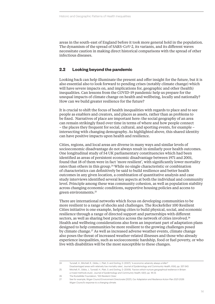areas in the south-east of England before it took more general hold in the population. The dynamism of the spread of SARS-CoV-2, its variants, and its different waves necessitate caution in making direct historical comparisons with the spread of other infectious diseases.

#### **2.2 Looking beyond the pandemic**

Looking back can help illuminate the present and offer insight for the future, but it is also essential also to look forward to pending crises (notably climate change) which will have severe impacts on, and implications for, geographic and other (health) inequalities. Can lessons from the COVID-19 pandemic help us prepare for the unequal impacts of climate change on health and wellbeing, locally and nationally? How can we build greater resilience for the future?

It is crucial to shift the focus of health inequalities with regards to place and to see people as enablers and creators, and places as assets, rather than as problems to be fixed. Narratives of place are important here: the social geography of an area can remain strikingly fixed over time in terms of where and how people connect – the places they frequent for social, cultural, and sporting events, for example – intersecting with changing demography. As highlighted above, this shared identity can have positive impacts upon health and resilience.

Cities, regions, and local areas are diverse in many ways and similar levels of socioeconomic disadvantage do not always result in similarly poor health outcomes. One longitudinal study of 54 UK parliamentary constituencies which had been identified as areas of persistent economic disadvantage between 1971 and 2001, found that 18 of them were in fact 'more resilient', with significantly lower mortality rates than others in this group.<sup>24</sup> While no single characteristic or combination of characteristics can definitively be said to build resilience and better health outcomes in any given location, a combination of quantitative analysis and case study interviews identified several key aspects at both the individual and community level. Principle among these was community cohesion, as well as population stability across changing economic conditions, supportive housing policies and access to green environments.25

There are international networks which focus on developing communities to be more resilient to a range of shocks and challenges. The Rockefeller 100 Resilient Cities initiative is one example, helping cities to build physical, social, and economic resilience through a range of directed support and partnerships with different sectors, as well as sharing best practice across the network of cities involved.<sup>26</sup> Health and wellbeing considerations also form an important part of adaptation plans designed to help communities be more resilient to the growing challenges posed by climate change.27 As well as increased adverse weather events, climate change also poses the threat of increased weather-related illnesses and those who already experience inequalities, such as socioeconomic hardship, food or fuel poverty, or who live with disabilities will be the most susceptible to these changes.

<sup>24</sup> Tunstall, H., Mitchell, R., Gibbs, J., Platt, S. and Dorling, D. (2007), '[Is economic adversity always a killer?](https://www.ncbi.nlm.nih.gov/pmc/articles/PMC2652946/) 

[Disadvantaged areas with relatively low mortality rates'](https://www.ncbi.nlm.nih.gov/pmc/articles/PMC2652946/), *Journal of Epidemiology and Community Health,* 61(4), pp. 337-343. 25 Mitchell, R., Gibbs, J., Tunstall, H., Platt, S. and Dorling, D. (2009), ['Factors which nurture geographical resilience in Britain:](https://www.dannydorling.org/?page_id=601) 

[a mixed methods study](https://www.dannydorling.org/?page_id=601)', *Journal of Epidemiology and Community Health,* 63(1), pp. 18-23.

<sup>26</sup> The Rockefeller Foundation, '[100 Resilient Cities](https://www.rockefellerfoundation.org/100-resilient-cities/)'

<sup>27</sup> See for example, Wigan Council Environment Directorate (2021), *[Our Adaptation and Resilience Action Plan 2021-2026.](https://www.wigan.gov.uk/Council/Strategies-Plans-and-Policies/Climate-change-and-sustainability.aspx)  [Wigan Council's response to a changing climate](https://www.wigan.gov.uk/Council/Strategies-Plans-and-Policies/Climate-change-and-sustainability.aspx).*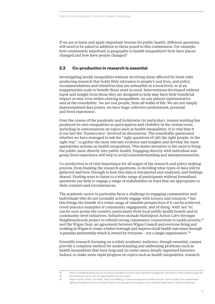If we are to learn and apply important lessons for public health, different questions will need to be asked in addition to those posed in this commission. For example, how consistently important is geography to health inequalities? How have places changed and how have people changed?

#### **2.3 Co-production in research is essential**

Investigating health inequalities without involving those affected by them risks producing research that holds little relevance to people's real lives, and policy recommendations and initiatives that are unfeasible at a local level, or at an inappropriate scale to benefit those most in need. Interventions developed without input and insight from those they are designed to help may have little beneficial impact or may even widen existing inequalities. As one patient representative said at the roundtable: 'we are real people, from all walks of life. We are not simply depersonalised data points, we have huge collective professional, personal, and lived experience'.

Over the course of the pandemic and lockdowns (in particular), remote working has produced its own inequalities in participation and visibility in the virtual room, including in conversations on topics such as health inequalities. It is vital that it is not just the 'Zoomocracy' involved in discussions. The roundtable questioned whether we have managed to ask the "right questions of (all) the right people, in the right way", to gather the most relevant evidence and insights and develop the most appropriate actions on health inequalities. This draws attention to the need to bring the public more directly into public health. Engaging directly with individual and group lived experience will help to avoid misunderstanding and misrepresentation.

Co-production is of vital importance for all stages of the research and policy making process, from framing the research questions, to deciding what types of data will be gathered and how, through to how this data is interpreted and analysed, and findings shared. Finding ways to listen to a wider range of participants without formalised questions can help to engage a range of stakeholders in ways that are appropriate to their contexts and circumstances.

The academic sector in particular faces a challenge in engaging communities and individuals who do not normally actively engage with science and research,<sup>28</sup> but this brings the benefit of a wider range of valuable perspectives if it can be achieved. Good-practice examples of community engagement, and of doing 'with' not 'to', can be seen across the country, particularly from local public health boards and in community-level initiatives. Initiatives include Hartlepool Action Lab's Stronger Neighbourhoods project to rebuild strong community connections to tackle poverty,<sup>29</sup> and the Wigan Deal, an agreement between Wigan Council and everyone living and working in Wigan to create a better borough and improve local health outcomes through 'a genuine partnership which is owned by everyone – not a single organisation'.30

Scientific research focusing on a solely academic audience, though essential, cannot provide a complete method for understanding and addressing problems such as health inequalities that have long and (in some cases) deeply ingrained histories. Indeed, to make more rapid progress on topics such as health inequalities, research

<sup>28</sup> See for example the [British Science Association's audience model](https://www.britishscienceassociation.org/our-audience-model) to help understand engagement with science in their audiences aged 16+.

<sup>29</sup> See Hartlepool Action Lab's ['Stronger Neighbourhoods](https://www.hartlepoolactionlab.org/stronger-neighbourhoods/)' project.

<sup>30</sup> Wigan Council, ['What is The Deal?](https://www.wigan.gov.uk/Council/The-Deal/The-Deal.aspx)'; Naylor and Wellings, *[A citizen-led approach to health and care](https://www.kingsfund.org.uk/publications/wigan-deal)*. Quote is taken from a presentation delivered by Wigan's Director of Public Health on the approach and progress of the 'Healthier Wigan Deal for Health and Wellness'.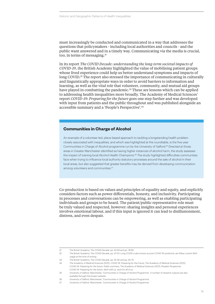must increasingly be conducted and communicated in a way that addresses the questions that policymakers - including local authorities and councils - and the public want answered and in a timely way. Communicating via the media is crucial, too, in terms of messaging.<sup>31</sup>

In its report *The COVID Decade: understanding the long-term societal impacts of COVID-19*, the British Academy highlighted the value of mobilising patient groups whose lived experience could help us better understand symptoms and impacts of long COVID.32 The report also stressed the importance of communicating in culturally and linguistically appropriate ways in order to avoid barriers to information and learning, as well as the vital role that volunteer, community, and mutual aid groups have played in combatting the pandemic.<sup>33</sup> These are lessons which can be applied to addressing health inequalities more broadly. The Academy of Medical Sciences' report *COVID-19: Preparing for the future* goes one step further and was developed with input from patients and the public throughout and was published alongside an accessible summary and a 'People's Perspective'.34

#### **Communities in Charge of Alcohol**

An example of a volunteer-led, place-based approach to tackling a longstanding health problem closely associated with inequalities, and which was highlighted at the roundtable, is the five-year Communities in Charge of Alcohol programme run by the University of Salford.35 Directed at those areas in Greater Manchester identified as having higher instances of alcohol harm, the study assesses the impact of training local Alcohol Health Champions.36 The study highlighted difficulties communities face when trying to influence local authority statutory processes around the sale of alcohol in their local areas, but also suggested that greater benefits may be derived from developing communication among volunteers and communities.<sup>37</sup>

Co-production is based on values and principles of equality and equity, and explicitly considers factors such as power differentials, honesty, and inclusivity. Participating in processes and conversations can be empowering, as well as enabling participating individuals and groups to be heard. The patient/public representative role must be truly valued and respected, however: sharing insights and personal experiences involves emotional labour, and if this input is ignored it can lead to disillusionment, distress, and even despair.

<sup>31</sup> The British Academy, *[The COVID Decade,](https://www.thebritishacademy.ac.uk/publications/covid-decade-understanding-the-long-term-societal-impacts-of-covid-19/)* pp. 53-56 and pp. 78-83

<sup>32</sup> The British Academy, *[The COVID Decade,](https://www.thebritishacademy.ac.uk/publications/covid-decade-understanding-the-long-term-societal-impacts-of-covid-19/)* pp. 47-53. Long COVID is also known as post-COVID-19 syndrome; we follow current NHS usage at the time of writing.

<sup>33</sup> The British Academy, *[The COVID Decade,](https://www.thebritishacademy.ac.uk/publications/covid-decade-understanding-the-long-term-societal-impacts-of-covid-19/)* pp. 55-56 and pp. 65-70.

<sup>34</sup> The Academy of Medical Sciences (2021), *[COVID-19: Preparing for the Future](https://acmedsci.ac.uk/search?s=COVID+19+preparing+for+the+future);* The Academy of Medical Sciences (2021), *[COVID-19: Preparing for the future. Public summary](https://acmedsci.ac.uk/search?s=COVID+19+preparing+for+the+future);* The Academy of Medical Sciences (2021)*, [People's Perspective.](https://acmedsci.ac.uk/search?s=COVID+19+preparing+for+the+future)  [COVID-19: Preparing for the future. Work with us, work for all of us](https://acmedsci.ac.uk/search?s=COVID+19+preparing+for+the+future).*

<sup>35</sup> University of Salford, Manchester, ['Communities in Charge of Alcohol Programme'](http://hub.salford.ac.uk/communities-in-charge-of-alcohol/). A number of research outputs are also available through the project website.

<sup>36</sup> University of Salford, Manchester, ['Communities in Charge of Alcohol Programme'](http://hub.salford.ac.uk/communities-in-charge-of-alcohol/).

<sup>37</sup> University of Salford, Manchester, ['Communities in Charge of Alcohol Programme'](http://hub.salford.ac.uk/communities-in-charge-of-alcohol/).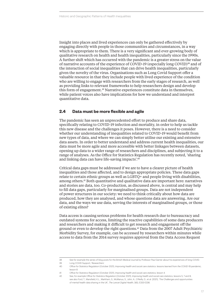Insight into places and lived experiences can only be gathered effectively by engaging directly with people in those communities and circumstances, in a way which is appropriate to them. There is a very significant and ever-growing body of qualitative research on health and health inequalities, particularly since the 1990s. A further shift which has occurred with the pandemic is a greater stress on the value of narrative accounts of the experience of COVID-19 (especially long COVID)38 and of the interaction of social inequalities that can drive health inequalities, particularly given the novelty of the virus. Organisations such as Long Covid Support offer a valuable resource in that they include people with lived experience of the condition who are willing to engage with researchers from the early stages of research, as well as providing links to relevant frameworks to help researchers design and develop this form of engagement.39 Narrative experiences constitute data in themselves, while patient voices also have implications for how we understand and interpret quantitative data.

#### **2.4 Data must be more flexible and agile**

The pandemic has seen an unprecedented effort to produce and share data, specifically relating to COVID-19 infection and mortality, in order to help us tackle this new disease and the challenges it poses. However, there is a need to consider whether our understanding of inequalities related to COVID-19 would benefit from new types of data, and where we can simply better utilise our existing and extensive data assets. In order to better understand and address current health inequalities, our data must be more agile and more accessible with better linkages between datasets, opening up data to a wider range of researchers and disciplines, and subjecting it to a range of analyses. As the Office for Statistics Regulation has recently noted, 'sharing and linking data can have life-saving impacts'.40

Critical data gaps must be addressed if we are to have a clearer picture of health inequalities and those affected, and to design appropriate policies. These data gaps relate to certain ethnic groups as well as LGBTQ+ and people living with disabilities, among others.41 Both quantitative and qualitative data are important here: narratives and stories are data, too. Co-production, as discussed above, is central and may help to fill data gaps, particularly for marginalised groups. Data are not independent of power structures in our society: we need to think critically about how data are produced, how they are analysed, and whose questions data are answering. Are our data, and the ways we use data, serving the interests of marginalised groups, or those of existing elites?

Data access is causing serious problems for health research due to bureaucracy and outdated systems for access, limiting the reactive capabilities of some data producers and researchers and making it difficult to get research and engagement off the ground or even to develop the right questions.42 Data from the 2007 Adult Psychiatric Morbidity Survey, for example, can be accessed by researchers within minutes while access to data from the 2014 survey requires approval from the Data Access Request

<sup>38</sup> See for example the series of blog posts for the British Medical Journal by [Professor Paul Garner about his experiences of long COVID](https://blogs.bmj.com/bmj/2021/01/25/paul-garner-on-his-recovery-from-long-covid/).

<sup>39</sup> Long COVID Support, ['Researchers](https://www.longcovid.org/resources/researchers)'.

<sup>40</sup> Office for Statistics Regulation (October 2021), *[Improving health and social care statistics: lessons learned from the COVID-19 pandemic,](https://osr.statisticsauthority.gov.uk/publication/improving-health-and-social-care-statistics-lessons-learned-from-the-covid-19-pandemic/)*  lesson 8.

<sup>41</sup> Office for Statistics Regulation (October 2021), *[Improving health and social care statistics](https://osr.statisticsauthority.gov.uk/publication/improving-health-and-social-care-statistics-lessons-learned-from-the-covid-19-pandemic/)*, lesson 4.

<sup>42</sup> See, for example Office for Statistics Regulation (October 2021), *[Improving health and social care statistics](https://osr.statisticsauthority.gov.uk/publication/improving-health-and-social-care-statistics-lessons-learned-from-the-covid-19-pandemic/)*, lessons 5, 7 and 8; see also Ford, T., Mansfield, K.L., Markham, S., McManus, S., John, A., O'Reilly, D., et al. (2021), ['The Challenges and opportunities](https://www.thelancet.com/journals/landig/article/PIIS2589-7500(21)00078-9/fulltext) [of mental health data sharing in the UK'](https://www.thelancet.com/journals/landig/article/PIIS2589-7500(21)00078-9/fulltext), *The Lancet Digital Health,* 3(6), E333-E336.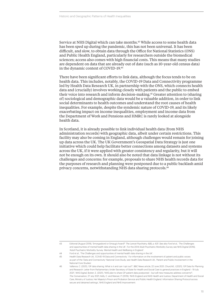Service at NHS Digital which can take months.43 While access to some health data has been sped up during the pandemic, this has not been universal. It has been difficult, and slow, to obtain data through the Office for National Statistics (ONS) and Public Health England, particularly for researchers outside the biomedical sciences; access also comes with high financial costs. This means that many studies are dependent on data that are already out of date (such as 10-year-old census data) in the dynamic context of COVID-19.44

There have been significant efforts to link data, although the focus tends to be on health data. This includes, notably, the COVID-19 Data and Connectivity programme led by Health Data Research UK, in partnership with the ONS, which connects health data and (crucially) involves working closely with patients and the public to embed their voice into research and inform decision-making.45 Greater attention to (sharing of) sociological and demographic data would be a valuable addition, in order to link social determinants to health outcomes and understand the root causes of health inequalities. For example, despite the syndemic nature of COVID-19, and its likely exacerbating impact on income inequalities, employment and income data from the Department of Work and Pensions and HMRC is rarely looked at alongside health data.

In Scotland, it is already possible to link individual health data (from NHS administration records) with geographic data, albeit under certain restrictions. This facility may also be coming in England, although challenges would remain for joining up data across the UK. The UK Government's Geospatial Data Strategy is just one initiative which could help facilitate better connections among datasets and systems across the UK, if it were applied with greater consistency and regularity, but it will not be enough on its own. It should also be noted that data linkage is not without its challenges and concerns: for example, proposals to share NHS health records data for the purposes of research and planning were postponed due to a public backlash amid privacy concerns, notwithstanding NHS data sharing protocols.46

<sup>43</sup> Editorial (August 2019), ['Smorgasbord or Smaug's hoard?'](https://www.thelancet.com/journals/lanpsy/article/PIIS2215-0366(19)30258-5/fulltext) *The Lancet Psychiatry, 6(8), p. 631. See also Ford et al., '*[The Challenges](https://www.thelancet.com/journals/landig/article/PIIS2589-7500(21)00078-9/fulltext)  [and opportunities of mental health data sharing in the UK](https://www.thelancet.com/journals/landig/article/PIIS2589-7500(21)00078-9/fulltext)'. For the 2014 Adult Psychiatric Morbidity Survey see NHS Digital (2016), ['Adult Psychiatric Morbidity Survey: Mental Health and Wellbeing in England](https://www.gov.uk/government/statistics/adult-psychiatric-morbidity-survey-mental-health-and-wellbeing-england-2014)'.

<sup>44</sup> Ford et al., ['The Challenges and opportunities of mental health data sharing in the UK](https://www.thelancet.com/journals/landig/article/PIIS2589-7500(21)00078-9/fulltext)'.

<sup>45</sup> Health Data Research UK, ['COVID-19 Data and Connectivity'](https://www.hdruk.ac.uk/covid-19-data-and-connectivity/). For information on the involvement of patient and public voices as part of the 'Data and Connectivity' National Core Study, see Health Data Research UK, '[Patient and Public Involvement in the](https://www.hdruk.ac.uk/covid-19/covid-19-national-core-studies/embedding-the-patient-and-public-voice-in-the-national-core-studies/)  [National Core Studies](https://www.hdruk.ac.uk/covid-19/covid-19-national-core-studies/embedding-the-patient-and-public-voice-in-the-national-core-studies/)'.

<sup>46</sup> Vallance, C. (2021), ['GP data sharing: What is it and can I opt out?](https://www.bbc.co.uk/news/technology-57555013)', BBC News article, 22 June 2021; Churchill, J (2021), ['GP Data for Planning](https://digital.nhs.uk/data-and-information/data-collections-and-data-sets/data-collections/general-practice-data-for-planning-and-research/secretary-of-state-letter-to-general-practice)  [and Research: Letter from Parliamentary Under Secretary of State for Health and Social Care to general practices in England – 19 July](https://digital.nhs.uk/data-and-information/data-collections-and-data-sets/data-collections/general-practice-data-for-planning-and-research/secretary-of-state-letter-to-general-practice)  [2021](https://digital.nhs.uk/data-and-information/data-collections-and-data-sets/data-collections/general-practice-data-for-planning-and-research/secretary-of-state-letter-to-general-practice)', NHS Digital; Boiten, E. (2021), '[NHS plan to share GP patient data postponed – but will new measures address concerns?'](https://theconversation.com/nhs-plan-to-share-gp-patient-data-postponed-but-will-new-measures-address-concerns-165103), *The Conversation,* 27 July 2021; Kelly, C. and Manser, P. (2019), *'*[NHS England and NHS Health and Justice, Department of Health and Social](https://www.england.nhs.uk/publication/information-sharing-protocol-across-secure-and-detained-settings/) [Care, Ministry of Justice, Her Majesty's Prison and Probation Service and Public Health England. Information Sharing Protocol across](https://www.england.nhs.uk/publication/information-sharing-protocol-across-secure-and-detained-settings/)  [secure and detained settings](https://www.england.nhs.uk/publication/information-sharing-protocol-across-secure-and-detained-settings/)', NHS England and NHS Improvement.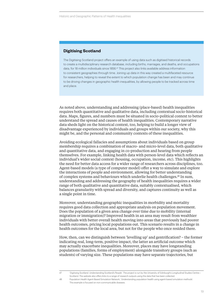#### **Digitising Scotland**

The Digitising Scotland project offers an example of using data such as digitised historical records to create a multidisciplinary research database, including births, marriages, and deaths, and occupations data, for 18 million individuals since 1856.<sup>47</sup> This project also links available address information to consistent geographies through time. Joining up data in this way created a multifaceted resource for researchers, helping to reveal the extent to which population change has been and may continue to be driving changes in geographic health inequalities, by allowing people to be tracked across time and place.

As noted above, understanding and addressing (place-based) health inequalities requires both quantitative and qualitative data, including contextual socio-historical data. Maps, figures, and numbers must be situated in socio-political context to better understand the spread and causes of health inequalities. Contemporary narrative data sheds light on the historical context, too, helping to build a longer view of disadvantage experienced by individuals and groups within our society, why this might be, and the personal and community contexts of these inequalities.

Avoiding ecological fallacies and assumptions about individuals based on group membership requires a combination of macro- and micro-level data, both qualitative and quantitative data, and engaging in co-production and hearing from people themselves. For example, linking health data with person-level data which reflects an individual's wider social context (housing, occupation, income, etc). This highlights the need for better data access for a wider range of researchers across disciplines, too. Agent-based models (a type of computer model) offer a way to simulate and explore the interactions of people and environment, allowing for better understanding of complex systems and behaviours which underlie health challenges.48 In sum, understanding and addressing the geography of health inequalities requires a wider range of both qualitative and quantitative data, suitably contextualised, which balances granularity with spread and diversity, and captures continuity as well as a single point in time.

Moreover, understanding geographic inequalities in morbidity and mortality requires good data collection and appropriate analysis on population movement. Does the population of a given area change over time due to mobility (internal migration or immigration)? Improved health in an area may result from wealthier individuals with better overall health moving into areas that previously had poorer health outcomes, pricing local populations out. This scenario results in a change in health outcomes for the local area, but not for the people who once resided there.

How, then, can we distinguish between 'levelling up' and gentrification? – the former indicating real, long-term, positive impact, the latter an artificial outcome which may actually exacerbate inequalities. Moreover, places may have longstanding populations (families, forms of employment) alongside transitory groups (such as students) of varying size. These populations may have separate trajectories, but

<sup>47</sup> ['Digitising Scotland. Understanding Scotland's People](https://digitisingscotland.ac.uk/)'. The project is run by the University of Edinburgh's Longitudinal Studies Centre— Scotland. The website also offers links to a range of research outputs using the data that has been collected.

<sup>48</sup> Population Health Agent-Based Simulation Network, '[Understanding population health using agent-based simulation methods](http://phasenetwork.org/)'. This example is focused on non-communicable diseases.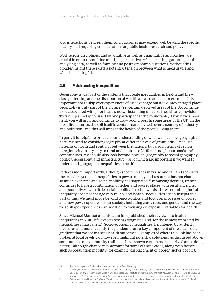also interactions between them, and outcomes may extend well beyond the specific locality – all requiring consideration for public health research and policy.

Work across disciplines, and qualitative as well as quantitative approaches, are crucial in order to combine multiple perspectives when creating, gathering, and analysing data, as well as framing and posing research questions. Without this broader insight there exists a potential tension between what is measurable and what is meaningful.

#### **2.5 Addressing inequalities**

Geography is just part of the systems that create inequalities in health and life – class patterning and the distribution of wealth are also crucial, for example. It is important not to skip over experiences of disadvantage outside disadvantaged places; geography is only part of the picture. Yet certain deprived areas of the UK continue to be associated with poor health, notwithstanding universal healthcare provision. To take up a metaphor used by one participant at the roundtable, if you have a poor field, you will grow and continue to grow poor crops. In some areas of the UK, in the most literal sense, the soil itself is contaminated by well over a century of industry and pollution, and this will impact the health of the people living there.

In part, it is helpful to broaden our understanding of what we mean by 'geography' here. We need to consider geography at different levels of granularity – not just in terms of north and south, or between the nations, but also in terms of region to region, city to city, city to rural and in terms of different neighbourhoods and communities. We should also look beyond physical geography to social geography, political geography, and infrastructure – all of which are important if we want to understand geographic inequalities in health.

Perhaps more importantly, although specific places may rise and fall and see shifts, the broader system of inequalities in power, money and resources has not changed so much over time and social mobility has stagnated.49 In varying degrees, Britain continues to have a combination of richer and poorer places with resultant richer and poorer lives, with little social mobility. In other words, the essential 'engine' of inequality does not change very much, and health inequalities are an inseparable part of this. We must move beyond big-P Politics and focus on processes of power and how power operates in our society, including class, race, and gender and the way these shape experiences – in addition to focusing on exposure variables for health.

Since Michael Marmot and his team first published their review into health inequalities in 2010, life expectancy has stagnated and, for those most impacted by inequalities it has fallen.<sup>50</sup> Socio-economic inequalities, heightened by austerity measures and more recently the pandemic, are a key component of the clear social gradient that we see in these health outcomes. Examples of where this link has been broken at local levels can, however, highlight potential solutions. As discussed above, some studies on community resilience have shown certain more deprived areas doing better,51 although chance may account for some of these cases, along with factors such as population mobility (for example, displacement of poorer, sicker people).

<sup>49</sup> See for example the [All-Party Parliamentary Group on Social Mobility.](https://www.suttontrust.com/our-priorities/all-party-parliamentary-group-on-social-mobility/)

<sup>50</sup> Marmot, M., Allen, J., Goldblatt, P., Boyce, T., McNeish, D., Grady, M. and Geddes, I. (2010), *[Fair Society, Healthy Lives. The Marmot Review.](https://www.instituteofhealthequity.org/resources-reports/fair-society-healthy-lives-the-marmot-review)* Strategic Review of Health Inequalities in England post-2010. Institute of Health Equity; Marmot, M., Allen, J., Boyce, T., Goldblatt, P. and Morrison, J. (2020), *[Health Equity in England: The Marmot Review 10 Years On](https://www.health.org.uk/publications/reports/the-marmot-review-10-years-on),* The Health Foundation and Institute of Health Equity.

<sup>51</sup> Cairns-Nagi, J. and Bambra, C. (2013), '[Defying the odds: a mixed-methods study of health resilience in deprived areas on England'](https://pubmed.ncbi.nlm.nih.gov/23566672/), *Soc. Sci. Med. 91,* PP. 229-237; Tunstall et al, ['Is economic adversity always a killer?](https://jech.bmj.com/content/61/4/337.info)'.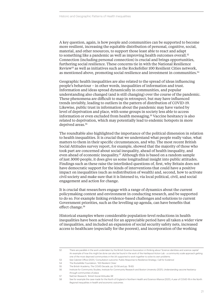A key question, again, is how people and communities can be supported to become more resilient, increasing the equitable distribution of personal, cognitive, social, material, and other resources, to support those least able to react and adapt to something like a pandemic as well as improving health outcomes overall.<sup>52</sup> Connection (including personal connection) is crucial and brings opportunities, furthering social resilience. These concerns tie in with the National Resilience Review<sup>53</sup> as well as initiatives such as the Rockefeller 100 Resilient Cities network, as mentioned above, promoting social resilience and investment in communities.<sup>54</sup>

Geographic health inequalities are also related to the spread of ideas influencing people's behaviour – in other words, inequalities of information and trust. Information and ideas spread dynamically in communities, and popular understanding also changed (and is still changing) over the course of the pandemic. These phenomena are difficult to map in retrospect, but may have influenced trends invisibly, leading to outliers in the pattern of distribution of COVID-19. Likewise, public trust in information about the pandemic may have varied by level of deprivation and place, with some groups in society less able to access information or even excluded from health messaging.<sup>55</sup> Vaccine hesitancy is also related to deprivation, which may potentially lead to endemic hotspots in more deprived areas.<sup>56</sup>

The roundtable also highlighted the importance of the political dimension in relation to health inequalities. It is crucial that we understand what people really value, what matters to them in their specific circumstances, and why. The most recent British Social Attitudes survey report, for example, showed that the majority of those who took part are concerned about social inequality, ahead of health inequality, and even ahead of economic inequality.<sup>57</sup> Although this is based on a random sample of just 3000 people, it does give us some longitudinal insight into public attitudes. Findings such as these raise the interlinked questions of, first, why Britain does not have democratic support for the kinds of interventions that could have a positive impact on inequalities (such as redistribution of wealth) and, second, how to activate civil society and make sure that it is listened to, via local political, civil, and social engagement and action for change.

It is crucial that researchers engage with a range of dynamics about the current policymaking context and environment in conducting research, and be supported to do so. For example linking evidence-based challenges and solutions to current Government priorities, such as the levelling up agenda, can have benefits that effect change.<sup>58</sup>

Historical examples where considerable population-level reductions in health inequalities have been achieved for an appreciable period have all taken a wider view of inequalities, and included an expansion of social security safety nets, increased access to healthcare (especially for the poorest), and incorporation of the working

<sup>52</sup> There are parallels in the work undertaken by the British Science Association in thinking about '[Science identities and science capital](https://www.britishscienceassociation.org/science-identities-and-science-capital)'. An example of how this might be done can also be found in the work of the [Hartlepool Action Lab](https://www.hartlepoolactionlab.org/stronger-neighbourhoods/) - a community scale approach getting one of the most deprived communities in the UK supported to work together to solve its own problems.

<sup>53</sup> See Cabinet Office (2021), ['Consultation outcome: Public Response to Resilience Strategy: Call for Evidence'](https://www.gov.uk/government/consultations/national-resilience-strategy-call-for-evidence/outcome/public-response-to-resilience-strategy-call-for-evidence).

<sup>54</sup> The Rockefeller Foundation, '[100 Resilient Cities](https://www.rockefellerfoundation.org/100-resilient-cities/)'.

<sup>55</sup> The British Academy, *[The COVID Decade,](https://www.thebritishacademy.ac.uk/publications/covid-decade-understanding-the-long-term-societal-impacts-of-covid-19/)* pp. 53-56 and pp. 78-83.

<sup>56</sup> Institute for Community Studies, Institute for Community Research and Boston University (2021), *[Understanding vaccine hesitancy](https://icstudies.org.uk/repository/understanding-vaccine-hesitancy-through-communities-place)  [through communities of place.](https://icstudies.org.uk/repository/understanding-vaccine-hesitancy-through-communities-place)*

<sup>57</sup> NatCen Research, ['British Social Attitudes 38'](https://www.bsa.natcen.ac.uk/).

<sup>58</sup> See for example the case made for the North of England in Northern Health and Science Alliance (2021), *[A year of COVID-19 in the North:](https://www.thenhsa.co.uk/app/uploads/2021/09/COVID-REPORT-2021-EMBARGO.pdf)  [Regional inequalities in health and economic outcomes.](https://www.thenhsa.co.uk/app/uploads/2021/09/COVID-REPORT-2021-EMBARGO.pdf)*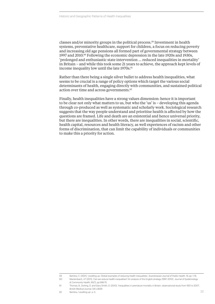classes and/or minority groups in the political process.59 Investment in health systems, preventative healthcare, support for children, a focus on reducing poverty and increasing old age pensions all formed part of governmental strategy between 1997 and 2010.60 Following the economic depression in the late 1920s and 1930s, 'prolonged and enthusiastic state intervention ... reduced inequalities in mortality' in Britain – and while this took some 21 years to achieve, the approach kept levels of income inequality low until the late 1970s.<sup>61</sup>

Rather than there being a single silver bullet to address health inequalities, what seems to be crucial is a range of policy options which target the various social determinants of health, engaging directly with communities, and sustained political action over time and across governments.62

Finally, health inequalities have a strong values dimension: hence it is important to be clear not only what matters to us, but who the 'us' is – developing this agenda through co-produced as well as systematic and scholarly work. Sociological research suggests that the way people understand and prioritise health is affected by how the questions are framed. Life and death are an existential and hence universal priority, but there are inequalities. In other words, there are inequalities in social, scientific, health capital, resources and health literacy, as well experiences of racism and other forms of discrimination, that can limit the capability of individuals or communities to make this a priority for action.

<sup>59</sup> Bambra, C. (2021), ['Levelling up: Global examples of reducing health inequalities'](https://pubmed.ncbi.nlm.nih.gov/34148458/), *Scandinavian Journal of Public Health,* 19, pp. 1-16. 60 Mackenbach, J.P. (2011), ['Can we reduce health inequalities? An analysis of the English strategy \(1997–2010\)'](https://hal.archives-ouvertes.fr/hal-00628275)*, Journal of Epidemiology* 

*<sup>&</sup>amp; Community Health,* 65(7), pp.568-75.

<sup>61</sup> Thomas, B., Dorling, D. and Davy Smith, G. (2010), '[Inequalities in premature mortality in Britain: observational study from 1921 to 2007'](https://pubmed.ncbi.nlm.nih.gov/20650979/), *British Medical Journal,* 341:c3639.

<sup>62</sup> Bambra, '[Levelling up](https://pubmed.ncbi.nlm.nih.gov/34148458/)', p. 5.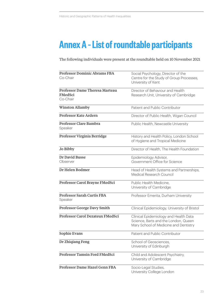## **Annex A – List of roundtable participants**

The following individuals were present at the roundtable held on 10 November 2021

| <b>Professor Dominic Abrams FBA</b> | Social Psychology, Director of the           |  |
|-------------------------------------|----------------------------------------------|--|
| Co-Chair                            | Centre for the Study of Group Processes,     |  |
|                                     | University of Kent                           |  |
|                                     |                                              |  |
| Professor Dame Theresa Marteau      | Director of Behaviour and Health             |  |
| FMedSci                             | Research Unit, University of Cambridge       |  |
| Co-Chair                            |                                              |  |
|                                     |                                              |  |
| <b>Winston Allamby</b>              | Patient and Public Contributor               |  |
| Professor Kate Ardern               | Director of Public Health, Wigan Council     |  |
| Professor Clare Bambra<br>Speaker   | Public Health, Newcastle University          |  |
| Professor Virginia Berridge         | History and Health Policy, London School     |  |
|                                     | of Hygiene and Tropical Medicine             |  |
|                                     |                                              |  |
| Jo Bibby                            | Director of Health, The Health Foundation    |  |
| Dr David Busse                      | Epidemiology Advisor,                        |  |
| Observer                            | Government Office for Science                |  |
|                                     |                                              |  |
| Dr Helen Bodmer                     | Head of Health Systems and Partnerships,     |  |
|                                     | Medical Research Council                     |  |
|                                     |                                              |  |
| Professor Carol Brayne FMedSci      | Public Health Medicine,                      |  |
|                                     | University of Cambridge                      |  |
|                                     |                                              |  |
| <b>Professor Sarah Curtis FBA</b>   | Professor Emerita, Durham University         |  |
| Speaker                             |                                              |  |
|                                     |                                              |  |
| Professor George Davy Smith         | Clinical Epidemiology, University of Bristol |  |
|                                     |                                              |  |
| Professor Carol Dezateux FMedSci    | Clinical Epidemiology and Health Data        |  |
|                                     | Science, Barts and the London, Queen         |  |
|                                     | Mary School of Medicine and Dentistry        |  |
|                                     |                                              |  |
| Sophie Evans                        | Patient and Public Contributor               |  |
|                                     |                                              |  |
| Dr Zhiqiang Feng                    | School of Geosciences,                       |  |
|                                     | University of Edinburgh                      |  |
|                                     |                                              |  |
| Professor Tamsin Ford FMedSci       | Child and Adolescent Psychiatry,             |  |
|                                     | University of Cambridge                      |  |
|                                     |                                              |  |
| Professor Dame Hazel Genn FBA       | Socio-Legal Studies,                         |  |
|                                     | University College London                    |  |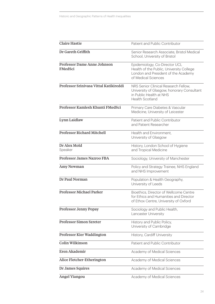| <b>Claire Hastie</b>                   | Patient and Public Contributor                                                                                                          |
|----------------------------------------|-----------------------------------------------------------------------------------------------------------------------------------------|
| Dr Gareth Griffith                     | Senior Research Associate, Bristol Medical<br>School, University of Bristol                                                             |
| Professor Dame Anne Johnson<br>FMedSci | Epidemiology, Co-Director UCL<br>Health of the Public, University College<br>London and President of the Academy<br>of Medical Sciences |
| Professor Srinivasa Vittal Katikireddi | NRS Senior Clinical Research Fellow,<br>University of Glasgow, honorary Consultant<br>in Public Health at NHS<br>Health Scotland        |
| Professor Kamlesh Khunti FMedSci       | Primary Care Diabetes & Vascular<br>Medicine, University of Leicester                                                                   |
| Lynn Laidlaw                           | Patient and Public Contributor<br>and Patient Researcher                                                                                |
| <b>Professor Richard Mitchell</b>      | Health and Environment,<br>University of Glasgow                                                                                        |
| Dr Alex Mold<br>Speaker                | History, London School of Hygiene<br>and Tropical Medicine                                                                              |
| Professor James Nazroo FBA             | Sociology, University of Manchester                                                                                                     |
| Amy Newman                             | Policy and Strategy Trainee, NHS England<br>and NHS Improvement                                                                         |
| Dr Paul Norman                         | Population & Health Geography,<br>University of Leeds                                                                                   |
| <b>Professor Michael Parker</b>        | Bioethics, Director of Wellcome Centre<br>for Ethics and Humanities and Director<br>of Ethox Centre, University of Oxford               |
| Professor Jenny Popay                  | Sociology and Public Health,<br>Lancaster University                                                                                    |
| <b>Professor Simon Szreter</b>         | History and Public Policy,<br>University of Cambridge                                                                                   |
| Professor Kier Waddington              | History, Cardiff University                                                                                                             |
| Colin Wilkinson                        | Patient and Public Contributor                                                                                                          |
| Eren Akademir                          | Academy of Medical Sciences                                                                                                             |
| Alice Fletcher-Etherington             | Academy of Medical Sciences                                                                                                             |
| Dr James Squires                       | Academy of Medical Sciences                                                                                                             |
| Angel Yiangou                          | Academy of Medical Sciences                                                                                                             |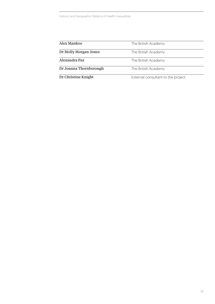| Alex Mankoo            | The British Academy                |
|------------------------|------------------------------------|
| Dr Molly Morgan Jones  | The British Academy                |
| Alexandra Paz          | The British Academy                |
| Dr Joanna Thornborough | The British Academy                |
| Dr Christine Knight    | External consultant to the project |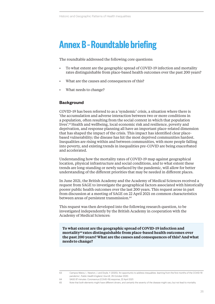### **Annex B – Roundtable briefing**

The roundtable addressed the following core questions:

- To what extent are the geographic spread of COVID-19 infection and mortality rates distinguishable from place-based health outcomes over the past 200 years?
- What are the causes and consequences of this?
- What needs to change?

#### **Background**

COVID-19 has been referred to as a 'syndemic' crisis, a situation where there is 'the accumulation and adverse interaction between two or more conditions in a population, often resulting from the social context in which that population lives'.63Health and wellbeing, local economic risk and resilience, poverty and deprivation, and response planning all have an important place-related dimension that has shaped the impact of the crisis. This impact has identified clear placebased vulnerability; the disease has hit the most deprived communities hardest. Inequalities are rising within and between communities, with more people falling into poverty, and existing trends in inequalities pre-COVID are being exacerbated and accelerated.

Understanding how the mortality rates of COVID-19 map against geographical location, physical infrastructure and social conditions, and to what extent these trends are long-standing or newly surfaced by the pandemic, will allow for better understanding of the different priorities that may be needed in different places.

In June 2021, the British Academy and the Academy of Medical Sciences received a request from SAGE to investigate the geographical factors associated with historically poorer public health outcomes over the last 200 years. This request arose in part from discussion at a meeting of SAGE on 22 April 2021 on common characteristics between areas of persistent transmission.<sup>64</sup>

This request was then developed into the following research question, to be investigated independently by the British Academy in cooperation with the Academy of Medical Sciences:

**To what extent are the geographic spread of COVID-19 infection and mortality65 rates distinguishable from place-based health outcomes over the past 200 years? What are the causes and consequences of this? And what needs to change?**

<sup>63</sup> Campos-Matos, I., Newton, J. and Doyle, Y. (2020). 'An opportunity to address inequalities: learning from the first months of the COVID-19 [pandemic](https://publichealthmatters.blog.gov.uk/2020/10/29/an-opportunity-to-address-inequalities-learning-from-the-first-months-of-the-covid-19-pandemic/)', *Public Health England, Gov.UK*, 29 October 2020.

<sup>64</sup> [SAGE 87 minutes: Coronavirus \(COVID-19\) response, 22 April 2021](https://www.gov.uk/government/publications/sage-87-minutes-coronavirus-covid-19-response-22-april-2021/sage-87-minutes-coronavirus-covid-19-response-22-april-2021).

<sup>65</sup> Note that both elements might have different drivers, and certainly the severity of the disease might vary, but not lead to mortality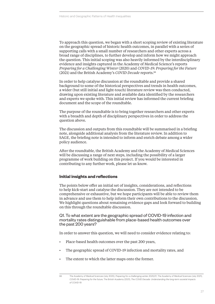To approach this question, we began with a short scoping review of existing literature on the geographic spread of historic health outcomes, in parallel with a series of supporting calls with a small number of researchers and other experts across a broad range of disciplines, to further develop and inform how we might approach the question. This initial scoping was also heavily informed by the interdisciplinary evidence and insights captured in the Academy of Medical Science's reports *Preparing for a Challenging Winter* (2020) and *COVID-19: Preparing for the Future* (2021) and the British Academy's *COVID Decade* reports.66

In order to help catalyse discussion at the roundtable and provide a shared background to some of the historical perspectives and trends in health outcomes, a wider (but still initial and light-touch) literature review was then conducted, drawing upon existing literature and available data identified by the researchers and experts we spoke with. This initial review has informed the current briefing document and the scope of the roundtable.

The purpose of the roundtable is to bring together researchers and other experts with a breadth and depth of disciplinary perspectives in order to address the question above.

The discussion and outputs from this roundtable will be summarised in a briefing note, alongside additional analysis from the literature review. In addition to SAGE, the briefing note is intended to inform and enrich debate among a wider policy audience.

After the roundtable, the British Academy and the Academy of Medical Sciences will be discussing a range of next steps, including the possibility of a larger programme of work building on this project. If you would be interested in contributing to any further work, please let us know.

#### **Initial insights and reflections**

The points below offer an initial set of insights, considerations, and reflections to help kick-start and catalyse the discussion. They are not intended to be comprehensive or exhaustive, but we hope participants will be able to review them in advance and use them to help inform their own contributions to the discussion. We highlight questions about remaining evidence gaps and look forward to building on this through the roundtable discussion.

Q1. To what extent are the geographic spread of COVID-19 infection and mortality rates distinguishable from place-based health outcomes over the past 200 years?

In order to answer this question, we will need to consider evidence relating to:

- Place-based health outcomes over the past 200 years,
- The geographic spread of COVID-19 infection and mortality rates, and
- The extent to which the latter maps onto the former.

<sup>66</sup> The Academy of Medical Sciences (July 2020), *[Preparing for a challenging winter 2020/21](https://acmedsci.ac.uk/policy/policy-projects/coronavirus-preparing-for-challenges-this-winter)*; The Academy of Medical Sciences (July 2021), *[COVID-19: Preparing for the future](https://acmedsci.ac.uk/more/news/winter-viruses-and-covid-19-could-push-nhs-to-breaking-point-warns-new-report)*; The British Academy (2021), *[The COVID Decade: Understanding the long-term societal impacts](https://www.thebritishacademy.ac.uk/publications/covid-decade-understanding-the-long-term-societal-impacts-of-covid-19/) [of COVID-19](https://www.thebritishacademy.ac.uk/publications/covid-decade-understanding-the-long-term-societal-impacts-of-covid-19/)*.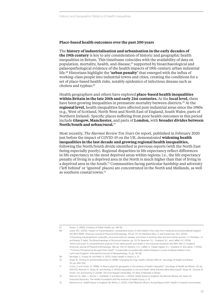#### **Place-based health outcomes over the past 200 years**

#### The **history of industrialisation and urbanisation in the early decades of the 19th century** is key to any consideration of historic and geographic health inequalities in Britain. This timeframe coincides with the availability of data on population, mortality, health, and disease,<sup>67</sup> supported by bioarchaeological and palaeopathological evidence of the health impacts of 19th-century urban industrial life.68 Historians highlight the **'urban penalty'** that emerged with the influx of working-class people into industrial towns and cities, creating the conditions for a set of place-based health risks, notably epidemics of infectious disease such as cholera and typhus.69

Health geographers and others have explored **place-based health inequalities within Britain in the late 20th and early 21st centuries.** At the **local level,** there have been growing inequalities in premature mortality between districts.70 At the **regional level,** health inequalities have affected post-industrial areas since the 1980s (e.g., West of Scotland, North West and North East of England, South Wales, parts of Northern Ireland). Specific places suffering from poor health outcomes in this period include **Glasgow, Manchester,** and parts of **London,** with **broader divides between North/South and urban/rural.**<sup>71</sup>

Most recently, *The Marmot Review Ten Years On* report, published in February 2020 just before the impact of COVID-19 on the UK, demonstrated **widening health inequalities in the last decade and growing regional health inequalities,** following the North/South divide identified in previous reports (with the North East faring especially poorly). Regional disparities in life expectancy reflect differences in life expectancy in the most deprived areas within regions: i.e., the life expectancy penalty of living in a deprived area in the North is much higher than that of living in a deprived area in the South.72 Communities facing particular hardship and adversity ('left behind' or 'ignored' places) are concentrated in the North and Midlands, as well as southern coastal towns.73

<sup>67</sup> Rosen, G. (1993), *A History of Public Health*, pp. 148–56.

<sup>68</sup> Lewis, M.E. (2002), '[Impact of industrialization: comparative study of child health in four sites from medieval and postmedieval England](https://onlinelibrary.wiley.com/doi/abs/10.1002/ajpa.10126)  [\(AD 850–1859\)](https://onlinelibrary.wiley.com/doi/abs/10.1002/ajpa.10126)', *American Journal of Physical Anthropology*, 119, pp. 211–23; Mathena-Allen, S. and Zuckerman, M.K. (2020), ['Embodying industrialization: inequality, structural violence, disease, and stress in working-class and poor British women](https://www.springer.com/gp/book/9783030464394)', in Tremblay, L.A. and Reedy, S. (eds), *The Bioarchaeology of Structural Violence*, pp. 53-79; Newman, S.L., Gowland, R.L. and Caffell, A.C. (2019), ['North and south: A comprehensive analysis of non-adult growth and health in the industrial revolution \(AD 18th–19th C\), England'](https://dro.dur.ac.uk/28313/1/), *American Journal of Physical Anthropology*, 169, pp. 104–21; Roberts, C.A., Caffell, A., Filipek-Ogden, K.L., Gowland, R. and Jakob, T. (2016), '["Til Poison Phosphorous Brought them Death](https://dro.dur.ac.uk/19368/)": A potentially occupationally-related disease in a post-medieval skeleton from north-east England', *International Journal of Paleopathology*, 13, pp. 39–48.

<sup>69</sup> Berridge, V., Gorsky, M. and Mold, A. (2011), *[Public Health in History](https://researchonline.lshtm.ac.uk/id/eprint/20857/)*, p. 31.

<sup>70</sup> Shaw, M., Dorling, D. and Brimblecombe, N. (1998), ['Changing the map: health in Britain 1951–91](http://www.dannydorling.org/?page_id=1458)', *Sociology of Health and Illness*, 20, pp. 694–709.

<sup>71</sup> Curtis, S. and Jones, I.R. (1998), '[Is there a place for geography in the analysis of health inequality?](https://onlinelibrary.wiley.com/doi/10.1111/1467-9566.00123)', *Sociology of Health and Illness*, 20, pp. 645-672; Mitchell, R., Shaw, M. and Dorling, D. (2000) *[Inequalities in Life and Death: What If Britain Were More Equal?](http://www.dannydorling.org/?page_id=1474)*; Shaw, M., Thomas, B., Smith, G.D. and Dorling, D. (2008), *[The Grim Reaper's Road Map: An Atlas of Mortality in Britain](http://www.dannydorling.org/?page_id=1468)*.

<sup>72</sup> Marmot, M., Allen, J., Boyce, T., Goldblatt, P. and Morrison, J. (2020), *[Health Equity in England: the Marmot Review Ten Years On.](https://www.health.org.uk/publications/reports/the-marmot-review-10-years-on)  [Executive Summary](https://www.health.org.uk/publications/reports/the-marmot-review-10-years-on)*, The Health Foundation and the Institute of Health Equity, p. 13.

<sup>73</sup> Marmot et al., *[Health Equity in England](https://www.health.org.uk/publications/reports/the-marmot-review-10-years-on)*, 28; Whitty, C. (2021), *[Chief Medical Officer's Annual Report 2021: Health in Coastal Communities](https://www.gov.uk/government/publications/chief-medical-officers-annual-report-2021-health-in-coastal-communities)*.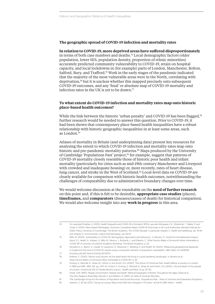#### **The geographic spread of COVID-19 infection and mortality rates**

#### **In relation to COVID-19, more deprived areas have suffered disproportionately**

in terms of both case numbers and deaths.74 Local demographic factors (older population, lower SES, population density, proportion of ethnic minorities) accurately predicted community vulnerability to COVID-19, strain on hospital capacity, and local lockdowns in (for example) parts of London, Manchester, Bolton, Salford, Bury, and Trafford.75 Work in the early stages of the pandemic indicated that the majority of the most vulnerable areas were in the North, correlating with deprivation,76 but it is unclear whether this mapped precisely onto subsequent COVID-19 outcomes, and any 'final' or absolute map of COVID-19 mortality and infection rates in the UK is yet to be drawn. $77$ 

#### **To what extent do COVID-19 infection and mortality rates map onto historic place-based health outcomes?**

While the link between the historic 'urban penalty' and COVID-19 has been flagged,78 further research would be needed to answer this question. Prior to COVID-19, it had been shown that contemporary place-based health inequalities have a robust relationship with historic geographic inequalities in at least some areas, such as London.79

Atlases of mortality in Britain (and underpinning data) present key resources for analysing the extent to which COVID-19 infection and mortality rates map onto historic and pre-pandemic mortality patterns.<sup>80</sup> Maps produced by the University of Cambridge 'Populations Past' project,<sup>81</sup> for example, suggest that patterns of COVID-19 mortality closely resemble those of historic poor health and infant mortality (particularly for cities such as mid-19th-century Manchester and Liverpool with crowded and inadequate housing) or, more recently, rates of heart disease, lung cancer, and stroke in the West of Scotland.<sup>82</sup> Local-level data on COVID-19 are clearly available for comparison with historic health outcomes, notwithstanding the challenges of comparability due to administrative boundary changes over time.

We would welcome discussion at the roundtable on the **need of further research** on this point and, if this is felt to be desirable, **appropriate case studies** (places), **timeframes,** and **comparators** (diseases/causes of death) for historical comparison. We would also welcome insight into any **work in progress** in this area.

<sup>74</sup> For example Priestley, A. (2021), *[Health Inequality and COVID-19 in Scotland](https://digitalpublications.parliament.scot/ResearchBriefings/Report/2021/3/23/ee202c60-93ad-4a27-a6e7-67613856ba24)*, SPICe; see also Morasaea, E.K., Ebrahimib, T., Mealy, P. and Coyle, D. (2021), *[Place-based Pathologies: Economic Complexity Maps COVID-19 Outcomes in UK Local Authorities](https://www.bennettinstitute.cam.ac.uk/publications/Place-based-pathologies/)*, Bennett Institute for Public Policy, University of Cambridge; The British Academy, *[The COVID Decade](https://www.thebritishacademy.ac.uk/publications/covid-decade-understanding-the-long-term-societal-impacts-of-covid-19/)*, in particular chapter 2, 'Health and wellbeing', pp. 18-64 and chapter 3, 'Communities, culture and belonging', pp. 65-91.

<sup>75</sup> Mills, M. (2020), '[Vulnerability to COVID-19: demography, deprivation and behaviour'](https://www.thebritishacademy.ac.uk/publications/covid-19-shape-the-future-what-factors-make-community-more-vulnerable/), in Abrams, D., Centre for Homelessness Impact, Hand, D.J., Heath, A., Karlsen, S., Mills, M., Nazroo, J., Richards, L. and Roberts, C., *What Factors Make a Community More Vulnerable to COVID-19? A summary of a British Academy Workshop*. The British Academy, p. 33.

<sup>76</sup> Nicodemo, C., Barzin, S., Cavalli, N, Lasserson, D., Moscone, F., Redding, S. and Shaikh, M. (2020), ['Measuring geographical disparities](https://bmjopen.bmj.com/content/10/9/e039749) [in England at the time of COVID-19: results using a composite indicator of population vulnerability'](https://bmjopen.bmj.com/content/10/9/e039749), *BMJ Open*, 10: e039749.

<sup>77</sup> Scoping call with Danny Dorling (14/10/21).

<sup>78</sup> Roberts, C. (2020), '[Mortui vivos docent: let the dead teach the living in a post-pandemic landscape'](https://www.thebritishacademy.ac.uk/publications/covid-19-shape-the-future-what-factors-make-community-more-vulnerable/), in Abrams et al.,

*What Factors Make a Community More Vulnerable to COVID-19?*, p. 42.

<sup>79</sup> Dorling, D., Mitchell, R., Shaw, M., Orford, S. and Smith, G.D. (2000), '[The Ghost of Christmas Past: health effects of poverty in London](https://pubmed.ncbi.nlm.nih.gov/11124169/)  [in 1896 and 1991'](https://pubmed.ncbi.nlm.nih.gov/11124169/), *BMJ*, 321, pp. 1547–51; Orford, S., Dorling, D., Mitchell, R., Shaw, M. and Smith, G.D. (2002), '[Life and death of the people](http://www.dannydorling.org/?page_id=1826)  [of London: a historical GIS of Charles Booth's inquiry'](http://www.dannydorling.org/?page_id=1826), *Health and Place*, 8, pp. 25–35.

<sup>80</sup> Howe, G.M. (1997), *People, Environment, Disease and Death: Medical Geography of Britain Throughout the Ages*; Shaw et al.,

*[The Grim Reaper's Road Map](http://www.dannydorling.org/?page_id=1468);* Woods, R. and Shelton, N. (1997), *An Atlas of Victorian Mortalit*y.

<sup>81</sup> The Cambridge Group for the History of Population and Social Structure, 'Populations Past – Atlas of Victorian and Edwardian Population'.

<sup>82</sup> Jeavans, C. (8 July 2021), '[Dying too young: Maps show little has changed in 170 years](https://www.bbc.co.uk/news/health-57730353)', article for BBC News – Health.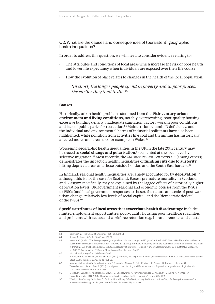#### Q2. What are the causes and consequences of (persistent) geographic health inequalities?

In order to address this question, we will need to consider evidence relating to:

- The attributes and conditions of local areas which increase the risk of poor health and lower life expectancy when individuals are exposed over their life course,
- How the evolution of place relates to changes in the health of the local population.

*'In short, the longer people spend in poverty and in poor places, the earlier they tend to die.'83*

#### **Causes**

Historically, urban health problems stemmed from the **19th-century urban environment and living conditions,** notably overcrowding, poor-quality housing, excessive building density, inadequate sanitation, factory work in poor conditions, and lack of public parks for recreation.84 Malnutrition, vitamin D deficiency, and the individual and environmental harms of industrial pollutants have also been highlighted, while pollution from activities like coal and tin mining has historically affected more rural areas too, for example in Wales.<sup>85</sup>

Worsening geographic health inequalities in the UK in the late 20th century may be traced to **social change and polarisation,**86 cemented at the local level by selective migration.87 Most recently, the *Marmot Review Ten Years On* (among others) demonstrates the impact on health inequalities of **funding cuts due to austerity,** hitting deprived areas and those outside London and the South East hardest.<sup>88</sup>

In England, regional health inequalities are largely accounted for by **deprivation,**<sup>89</sup> although this is not the case for Scotland. Excess premature mortality in Scotland, and Glasgow specifically, may be explained by the lagged effects of historically higher deprivation levels, UK government regional and economic policies from the 1950s to 1980s (and local government responses to these), the nature and scale of post-war urban change, relatively low levels of social capital, and the 'democratic deficit' of the 1980s.90

**Specific attributes of local areas that exacerbate health disadvantage** include: limited employment opportunities; poor-quality housing; poor healthcare facilities and problems with access and workforce retention (e.g. in rural, remote, and coastal

83 Dorling et al., '[The Ghost of Christmas Past'](https://pubmed.ncbi.nlm.nih.gov/11124169/), pp. 1550–51.

<sup>84</sup> Rosen, *A History of Public Health*, pp. 177–82.

<sup>85</sup> Jeavans, C. (8 July 2021), '[Dying too young: Maps show little has changed in 170 years](https://www.bbc.co.uk/news/health-57730353)', article for BBC News - Health; Mathena-Allen and Zuckerman, 'Embodying industrialization'; McGuire, S.A. (2020), 'Products of industry: pollution, health and England's industrial revolution', in Tremblay, L.A. and Reedy, S. (eds), *The Bioarchaeology of Structural Violence: A Theoretical Framework for Industrial Era Inequality*, pp. 203–31; Roberts et al., 'Til Poison Phosphorous Brought them Death'.

<sup>86</sup> Mitchell et al., *[Inequalities in Life and Death](https://www.dannydorling.org/?page_id=1474)*.

<sup>87</sup> Brimblecombe, N., Dorling, D. and Shaw, M. (1999), '[Mortality and migration in Britain, first results from the British Household Panel Survey](https://www.dannydorling.org/?page_id=979)', *Social Science and Medicine*, 49, pp. 981–88.

<sup>88</sup> Marmot et al., *[Health Equity in England](https://www.health.org.uk/publications/reports/the-marmot-review-10-years-on)*, pp. 3–5; see also Alexiou, A., Fahy, K. Mason, K. Bennett, D., Brown, H., Bambra, C., Taylor-Robinson, D. and Barr, B. (2021), '[Local government funding and life expectancy in England: a longitudinal ecological study](https://pubmed.ncbi.nlm.nih.gov/34265265/)', *The Lancet Public Health*, 6, e641–e647.

<sup>89</sup> McKee, M., Dunnell, K., Anderson, M., Brayne, C., Charlesworth, A., Johnston-Webber, C., Knapp, M., McGuire, A., Newton, J.N. Taylor, D. and Watt, R.G. (2021), ['The changing health needs of the UK population](https://www.thelancet.com/journals/lancet/article/PIIS0140-6736(21)00229-4/fulltext)', *Lancet*, 397: 1981.

<sup>90</sup> Walsh, D., McCartney, G., Collins, C., Taulbut, M. and Batty, G.D. (2016), *[History, Politics and Vulnerability: Explaining Excess Mortality](https://www.gcph.co.uk/publications/635_history_politics_and_vulnerability_explaining_excess_mortality)  [in Scotland and Glasgow](https://www.gcph.co.uk/publications/635_history_politics_and_vulnerability_explaining_excess_mortality)*, Glasgow Centre for Population Health, pp. 8–10.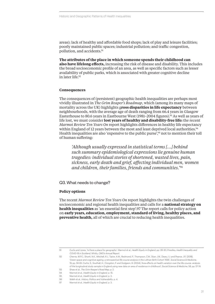areas); lack of healthy and affordable food shops; lack of play and leisure facilities; poorly maintained public spaces; industrial pollution; and traffic congestion, pollution, and accidents.91

**The attributes of the place in which someone spends their childhood can also have lifelong effects,** increasing the risk of disease and disability. This includes the broad socioeconomic profile of an area, as well as specific factors such as lesser availability of public parks, which is associated with greater cognitive decline in later life.92

#### **Consequences**

The consequences of (persistent) geographic health inequalities are perhaps most vividly illustrated in *The Grim Reaper's Roadmap*, which (among its many maps of mortality across the UK) highlights g**ross disparities in life expectancy** between neighbourhoods, with the average age of death ranging from 66.4 years in Glasgow Easterhouse to 80.6 years in Eastbourne West (1981-2004 figures).<sup>93</sup> As well as years of life lost, we must consider **lost years of healthy and disability-free life:** the recent *Marmot Review Ten Years On* report highlights differences in healthy life expectancy within England of 12 years between the most and least deprived local authorities.<sup>94</sup> Health inequalities are also 'expensive to the public purse',<sup>95</sup> not to mention their toll of human suffering:

*'Although usually expressed in statistical terms [...] behind such summary epidemiological expressions lie genuine human tragedies: individual stories of shortened, wasted lives, pain, sickness, early death and grief, affecting individual men, women and children, their families, friends and communities.'96*

Q3. What needs to change?

#### **Policy options**

The recent *Marmot Review Ten Years On* report highlights the twin challenges of socioeconomic and regional health inequalities and calls for a **national strategy on health inequalities** as 'an essential first step'.97 The report calls for policy action on **early years, education, employment, standard of living, healthy places, and preventive health,** all of which are crucial to reducing health inequalities.

<sup>91</sup> Curtis and Jones, '[Is there a place for geography'](https://onlinelibrary.wiley.com/doi/10.1111/1467-9566.00123); Marmot et al., *[Health Equity in England](https://www.health.org.uk/publications/reports/the-marmot-review-10-years-on)*, pp. 28–30; Priestley, *[Health Inequality and](https://digitalpublications.parliament.scot/ResearchBriefings/Report/2021/3/23/ee202c60-93ad-4a27-a6e7-67613856ba24)  [COVID-19 in Scotland](https://digitalpublications.parliament.scot/ResearchBriefings/Report/2021/3/23/ee202c60-93ad-4a27-a6e7-67613856ba24)*; Whitty, *[CMO's Annual Report](https://www.gov.uk/government/publications/chief-medical-officers-annual-report-2021-health-in-coastal-communities)*.

<sup>92</sup> Cherrie, M.P.C., Shortt, N.K., Mitchell, R.J., Taylor, A.M., Redmond, P., Thompson, C.W., Starr, J.M., Deary, I.J. and Pearce, J.R. (2018), ['Green space and cognitive ageing: a retrospective life course analysis in the Lothian Birth Cohort 1936'](https://www.sciencedirect.com/science/article/pii/S027795361730655X?via%3Dihub), *Social Science & Medicine*, 19, pp. 56-65; Curtis, S., Southall, H., Congdon, P. and Dodgeon, B. (2004), ['Area effects on health variation over the life-course: analysis](https://www.sciencedirect.com/science/article/abs/pii/S0277953603001497?via%3Dihub)  [of the longitudinal study sample in England using new data on area of residence in childhood](https://www.sciencedirect.com/science/article/abs/pii/S0277953603001497?via%3Dihub)', *Social Science & Medicine*, 58, pp. 57-74.

<sup>93</sup> Shaw et al., *[The Grim Reaper's Road Map](http://www.dannydorling.org/?page_id=1468)*, p. 2.

<sup>94</sup> Marmot et al., *[Health Equity in England](https://www.health.org.uk/publications/reports/the-marmot-review-10-years-on)*, p. 15.

<sup>95</sup> Marmot et al., *[Health Equity in England](https://www.health.org.uk/publications/reports/the-marmot-review-10-years-on)*, p. 3.

<sup>96</sup> Walsh et al., *[History, Politics and Vulnerability](https://www.gcph.co.uk/publications/635_history_politics_and_vulnerability_explaining_excess_mortality)*, p. 4.

<sup>97</sup> Marmot et al., *[Health Equity in England](https://www.health.org.uk/publications/reports/the-marmot-review-10-years-on)*, p. 3.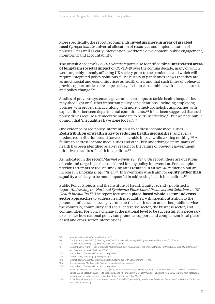More specifically, the report recommends **investing more in areas of greatest need** ('*proportionate* universal allocation of resources and implementation of policies'),98 as well as early intervention, workforce development, public engagement, monitoring and accountability.

The British Academy's *COVID Decade* reports also identified **nine interrelated areas of long-term societal impact** of COVID-19 over the coming decade, many of which were, arguably, already affecting UK society prior to the pandemic, and which will require integrated policy solutions.99 The history of pandemics shows that they are as much social and economic crises as health ones, and that such times of upheaval provide opportunities to reshape society if vision can combine with social, cultural, and policy change.100

Studies of previous systematic government attempts to tackle health inequalities may shed light on further important policy considerations, including employing policies with proven efficacy, along with more joined-up, holistic approaches with explicit links between departmental commitments.<sup>101</sup> It has been suggested that such policy drives require a democratic mandate to be truly effective,102 but we note public opinion that 'inequalities have gone too far'.103

One evidence-based policy intervention is to address income inequalities. **Redistribution of wealth is key to reducing health inequalities,** and even a modest redistribution would have considerable impact while costing nothing.104 A failure to address income inequalities and other key underlying determinants of health has been identified as a key reason for the failure of previous government initiatives to address health inequalities.<sup>105</sup>

As indicated in the recent *Marmot Review Ten Years On* report, there are questions of scale and targeting to be considered for any policy intervention. For example, previous attempts to reduce smoking rates resulted in an *overall* reduction but an increase in smoking *inequalities*. 106 Interventions which aim for **equity rather than equality** are likely to be more impactful in addressing health inequalities.<sup>107</sup>

Public Policy Projects and the Institute of Health Equity recently published a report *Addressing the National Syndemic: Place-based Problems and Solutions to UK Health Inequality.*108 The report focuses on **place-based whole-sector and crosssector approaches** to address health inequalities, with specific attention to the potential influence of local government; the health sector and other public services; the voluntary, community and social enterprise sector; the business sector; and communities. For policy change at the national level to be successful, it is necessary to consider how national policy can promote, support, and complement local placebased and cross-sector interventions.

<sup>98</sup> Marmot et al., *[Health Equity in England](https://www.health.org.uk/publications/reports/the-marmot-review-10-years-on), p. 7* 

<sup>99</sup> The British Academy (2021), *[Shaping the COVID Decade: Addressing the long-term societal impacts of COVID-19](https://www.thebritishacademy.ac.uk/publications/shaping-the-covid-decade-addressing-the-long-term-societal-impacts-of-covid-19/)*.

<sup>100</sup> The British Academy (2021), *[Shaping the COVID Decade](https://www.thebritishacademy.ac.uk/publications/shaping-the-covid-decade-addressing-the-long-term-societal-impacts-of-covid-19/)*.

<sup>101</sup> Mackenbach, J.P. (2011), ['Can we reduce health inequalities? An analysis of the English strategy \(1997-2010\)'](https://pubmed.ncbi.nlm.nih.gov/21459930/), *Journal of Epidemiology and Community Health*, 65.7, pp. 568-75.

<sup>102</sup> Mackenbach, 'Can we reduce health inequalities?

<sup>103</sup> Marmot et al., *[Health Equity in England](https://www.health.org.uk/publications/reports/the-marmot-review-10-years-on)*, p. 31.

<sup>104</sup> Mitchell et al., *[Inequalities in Life and Death](http://www.dannydorling.org/?page_id=1474)*; Scoping call with Danny Dorling (14/10/21).

<sup>105</sup> See for example Mackenbach, ['Can we reduce health inequalities?](https://pubmed.ncbi.nlm.nih.gov/21459930/)'.

<sup>106</sup> Mackenbach, ['Can we reduce health inequalities?'](https://pubmed.ncbi.nlm.nih.gov/21459930/).

<sup>107</sup> Rashid, R., Bennett, J.E., Paciorek, C.J., Doyle, Y., Pearson-Stuttard, J., Flaxman, S., Fecht, D., Toledano, M.B., Li, G., Daby, H.I., Johnson, E., Davies, B. and Ezzati, M. (2021), ['Life expectancy and risk of death in 6791 communities in England from 2002 to 2019: high-resolution](https://www.thelancet.com/journals/lanpub/article/PIIS2468-2667(21)00205-X/fulltext)  [spatiotemporal analysis of civil registration data'](https://www.thelancet.com/journals/lanpub/article/PIIS2468-2667(21)00205-X/fulltext), *The Lancet Public Health*.

<sup>108</sup> Public Policy Projects and the Institute of Health Equity (2021), *[Addressing the National Syndemic: Place-based problems and solutions](https://www.instituteofhealthequity.org/resources-reports/addressing-the-national-syndemic-place-based-problems-and-solutions-to-uk-health-inequality) [to UK health inequality](https://www.instituteofhealthequity.org/resources-reports/addressing-the-national-syndemic-place-based-problems-and-solutions-to-uk-health-inequality).*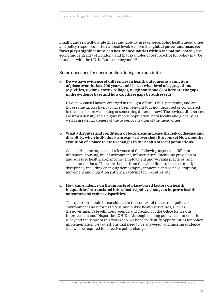Finally, and relatedly, while this roundtable focuses on geographic health inequalities and policy responses at the national level, we note that **global power and resource flows play a significant role in health inequalities within the nation** (notably the economic centrality of London), and that examples of best practice for policy may be found outwith the UK, in Europe or beyond.<sup>109</sup>

Some questions for consideration during the roundtable

**a. Do we have evidence of differences in health outcomes as a function of place over the last 200 years, and if so, at what level of aggregations (e.g. cities, regions, towns, villages, neighbourhoods)? Where are the gaps in the evidence base and how can these gaps be addressed?**

Have new causal factors emerged in the light of the COVID pandemic, and are those same factors likely to have been relevant (but not measured or considered) in the past, or are we looking at something different now? The obvious differences are urban density and a highly mobile population, both locally and globally, as well as greater awareness of the hyperlocalisation of the inequalities.

#### **b. What attributes and conditions of local areas increase the risk of disease and disability, when individuals are exposed over their life course? How does the evolution of a place relate to changes in the health of local populations?**

Considering the impact and relevance of the following aspects at different life stages: housing, built environment; infrastructure (including provision of and access to healthcare); income, employment and working practices; and social interactions. There are themes from the wider literature across multiple disciplines, including changing demography, economic and social disruption, movement and migration patterns, evolving town-centres, etc.

#### **c. How can evidence on the impacts of place-based factors on health inequalities be translated into effective policy change to improve health outcomes and reduce disparities?**

This question should be considered in the context of the current political environment and reforms to NHS and public health structures, such as the government's levelling-up agenda and creation of the Office for Health Improvement and Disparities (OHID). Although making policy recommendations is beyond the scope of this workshop, we hope to identify opportunities for policy implementation, key questions that need to be answered, and missing evidence that will be required for effective policy change.

109 Dorling, D. (2004), ['Healthy places, healthy spaces](https://www.dannydorling.org/?page_id=1045)', *British Medical Bulletin*, 69, pp. 1–14; scoping call with Martin McKee (22/10/21).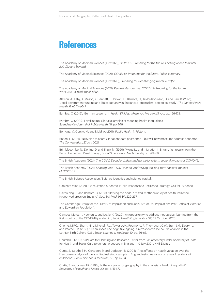### **References**

The Academy of Medical Sciences (July 2021), *[COVID-19: Preparing for the future. Looking ahead to winter](https://acmedsci.ac.uk/more/news/winter-viruses-and-covid-19-could-push-nhs-to-breaking-point-warns-new-report)  [2021/22 and beyond.](https://acmedsci.ac.uk/more/news/winter-viruses-and-covid-19-could-push-nhs-to-breaking-point-warns-new-report)*

The Academy of Medical Sciences (2021), *[COVID-19: Preparing for the future. Public summary](https://acmedsci.ac.uk/search?s=COVID+19+preparing+for+the+future)*.

The Academy of Medical Sciences (July 2020), *[Preparing for a challenging winter 2020/21](https://acmedsci.ac.uk/policy/policy-projects/coronavirus-preparing-for-challenges-this-winter)*.

The Academy of Medical Sciences (2021), *[People's Perspective. COVID-19: Preparing for the future.](https://acmedsci.ac.uk/search?s=COVID+19+preparing+for+the+future)  [Work with us, work for all of us](https://acmedsci.ac.uk/search?s=COVID+19+preparing+for+the+future)*.

Alexiou, A., Fahy, K. Mason, K. Bennett, D., Brown, H., Bambra, C., Taylor-Robinson, D. and Barr, B. (2021), ['Local government funding and life expectancy in England: a longitudinal ecological study](https://pubmed.ncbi.nlm.nih.gov/34265265/)', *The Lancet Public Health,* 6, e641–e647.

Bambra, C. (2016), 'German Lessons', in *Health Divides: where you live can kill you,* pp. 166-173.

Bambra, C. (2021), '[Levelling up: Global examples of reducing health inequalities](https://pubmed.ncbi.nlm.nih.gov/34148458/)', *Scandinavian Journal of Public Health,* 19, pp. 1-16.

Berridge, V., Gorsky, M. and Mold, A. (2011), *[Public Health in History](https://researchonline.lshtm.ac.uk/id/eprint/20857/)*.

Boiten, E. (2021), '[NHS plan to share GP patient data postponed – but will new measures address concerns?'](https://theconversation.com/nhs-plan-to-share-gp-patient-data-postponed-but-will-new-measures-address-concerns-165103), *The Conversation*, 27 July 2021.

Brimblecombe, N., Dorling, D. and Shaw, M. (1999), '[Mortality and migration in Britain, first results from the](https://www.dannydorling.org/?page_id=979)  [British Household Panel Survey](https://www.dannydorling.org/?page_id=979)', *Social Science and Medicine,* 49, pp. 981–88.

The British Academy (2021), *[The COVID Decade: Understanding the long-term societal impacts of COVID-19](https://www.thebritishacademy.ac.uk/publications/covid-decade-understanding-the-long-term-societal-impacts-of-covid-19/).*

The British Academy (2021), *[Shaping the COVID Decade: Addressing the long-term societal impacts](https://www.thebritishacademy.ac.uk/publications/shaping-the-covid-decade-addressing-the-long-term-societal-impacts-of-covid-19/)  [of COVID-19](https://www.thebritishacademy.ac.uk/publications/shaping-the-covid-decade-addressing-the-long-term-societal-impacts-of-covid-19/).*

The British Science Association, ['Science identities and science capital'](https://www.britishscienceassociation.org/science-identities-and-science-capital).

Cabinet Office (2021), ['Consultation outcome: Public Response to Resilience Strategy: Call for Evidence](https://www.gov.uk/government/consultations/national-resilience-strategy-call-for-evidence/outcome/public-response-to-resilience-strategy-call-for-evidence)'.

Cairns-Nagi, J. and Bambra, C. (2013), '[Defying the odds: a mixed-methods study of health resilience](https://pubmed.ncbi.nlm.nih.gov/23566672/)  [in deprived areas on England](https://pubmed.ncbi.nlm.nih.gov/23566672/)', *Soc. Sci. Med.* 91, PP. 229-237.

The Cambridge Group for the History of Population and Social Structure, 'Populations Past – Atlas of Victorian and Edwardian Population'.

Campos-Matos, I., Newton, J. and Doyle, Y. (2020), ['An opportunity to address inequalities: learning from the](https://ukhsa.blog.gov.uk/2020/10/29/an-opportunity-to-address-inequalities-learning-from-the-first-months-of-the-covid-19-pandemic/)  [first months of the COVID-19 pandemic](https://ukhsa.blog.gov.uk/2020/10/29/an-opportunity-to-address-inequalities-learning-from-the-first-months-of-the-covid-19-pandemic/)', *Public Health England, Gov.UK,* 29 October 2020.

Cherrie, M.P.C., Shortt, N.K., Mitchell, R.J., Taylor, A.M., Redmond, P., Thompson, C.W., Starr, J.M., Deary, I.J. and Pearce, J.R. (2018), ['Green space and cognitive ageing: a retrospective life course analysis in the](https://www.sciencedirect.com/science/article/pii/S027795361730655X?via%3Dihub)  [Lothian Birth Cohort 1936](https://www.sciencedirect.com/science/article/pii/S027795361730655X?via%3Dihub)', *Social Science & Medicine,* 19, pp. 56-65.

Churchill, J (2021), ['GP Data for Planning and Research: Letter from Parliamentary Under Secretary of State](https://digital.nhs.uk/data-and-information/data-collections-and-data-sets/data-collections/general-practice-data-for-planning-and-research/secretary-of-state-letter-to-general-practice) [for Health and Social Care to general practices in England – 19 July 2021](https://digital.nhs.uk/data-and-information/data-collections-and-data-sets/data-collections/general-practice-data-for-planning-and-research/secretary-of-state-letter-to-general-practice)', NHS Digital.

Curtis, S., Southall, H., Congdon, P. and Dodgeon, B. (2004), ['Area effects on health variation over the](https://www.sciencedirect.com/science/article/abs/pii/S0277953603001497?via%3Dihub)  [life-course: analysis of the longitudinal study sample in England using new data on area of residence in](https://www.sciencedirect.com/science/article/abs/pii/S0277953603001497?via%3Dihub)  [childhood'](https://www.sciencedirect.com/science/article/abs/pii/S0277953603001497?via%3Dihub), *Social Science & Medicine,* 58, pp. 57-74.

Curtis, S. and Jones, I.R. (1998), ['Is there a place for geography in the analysis of health inequality?'](https://onlinelibrary.wiley.com/doi/10.1111/1467-9566.00123), *Sociology of Health and Illness,* 20, pp. 645-672.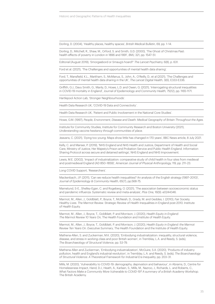Dorling, D. (2004), '[Healthy places, healthy spaces'](https://www.dannydorling.org/?page_id=1045), *British Medical Bulletin,* 69, pp. 1–14.

Dorling, D., Mitchell, R., Shaw, M., Orford, S. and Smith, G.D. (2000), '[The Ghost of Christmas Past:](https://pubmed.ncbi.nlm.nih.gov/11124169/)  [health effects of poverty in London in 1896 and 1991'](https://pubmed.ncbi.nlm.nih.gov/11124169/), *BMJ,* 321, pp. 1547–51.

Editorial (August 2019), ['Smorgasbord or Smaug's hoard?'](https://www.thelancet.com/journals/lanpsy/article/PIIS2215-0366(19)30258-5/fulltext) *The Lancet Psychiatry,* 6(8), p. 631.

Ford et al. (2021), '[The Challenges and opportunities of mental health data sharing'](https://www.thelancet.com/journals/landig/article/PIIS2589-7500(21)00078-9/fulltext).

Ford, T., Mansfield, K.L., Markham, S., McManus, S., John, A., O'Reilly, D., et al (2021), ['The Challenges and](https://www.thelancet.com/journals/landig/article/PIIS2589-7500(21)00078-9/fulltext)  [opportunities of mental health data sharing in the UK'](https://www.thelancet.com/journals/landig/article/PIIS2589-7500(21)00078-9/fulltext), *The Lancet Digital Health,* 3(6), E333-E336.

Griffith, G.J., Davy Smith, G., Manly, D., Howe, L.D. and Owen, G. (2021), '[Interrogating structural inequalities](https://jech.bmj.com/content/75/12/1165)  [in COVID-19 mortality in England'](https://jech.bmj.com/content/75/12/1165), *Journal of Epidemiology and Community Health,* 75(12), pp. 1165-1171.

Hartlepool Action Lab, ['Stronger Neighbourhoods'](https://www.hartlepoolactionlab.org/stronger-neighbourhoods/).

Health Data Research UK, ['COVID-19 Data and Connectivity'](https://www.hdruk.ac.uk/covid-19-data-and-connectivity/).

Health Data Research UK, '[Patient and Public Involvement in the National Core Studies](https://www.hdruk.ac.uk/covid-19/covid-19-national-core-studies/embedding-the-patient-and-public-voice-in-the-national-core-studies/)'.

Howe, G.M. (1997), *People, Environment, Disease and Death: Medical Geography of Britain Throughout the Ages.*

Institute for Community Studies, Institute for Community Research and Boston University (2021), *[Understanding vaccine hesitancy through communities of place.](https://icstudies.org.uk/repository/understanding-vaccine-hesitancy-through-communities-place)*

Jeavans, C. (2021), ['Dying too young: Maps show little has changed in 170 years](https://www.bbc.co.uk/news/health-57730353)', BBC News article, 8 July 2021.

Kelly, C. and Manser, P. (2019), ['NHS England and NHS Health and Justice, Department of Health and Social](https://www.england.nhs.uk/publication/information-sharing-protocol-across-secure-and-detained-settings/)  [Care, Ministry of Justice, Her Majesty's Prison and Probation Service and Public Health England. Information](https://www.england.nhs.uk/publication/information-sharing-protocol-across-secure-and-detained-settings/)  [Sharing Protocol across secure and detained settings](https://www.england.nhs.uk/publication/information-sharing-protocol-across-secure-and-detained-settings/)', NHS England and NHS Improvement.

Lewis, M.E. (2002), ['Impact of industrialization: comparative study of child health in four sites from medieval](https://onlinelibrary.wiley.com/doi/abs/10.1002/ajpa.10126)  [and postmedieval England \(AD 850–1859\)](https://onlinelibrary.wiley.com/doi/abs/10.1002/ajpa.10126)', *American Journal of Physical Anthropology,* 119, pp. 211–23.

Long COVID Support, ['Researchers](https://www.longcovid.org/resources/researchers)'.

Mackenbach, J.P. (2011), ['Can we reduce health inequalities? An analysis of the English strategy \(1997–2010\)](https://hal.archives-ouvertes.fr/hal-00628275)', *Journal of Epidemiology & Community Health,* 65(7), pp.568-75.

Mamelund, S-E., Shelley-Egan, C. and Rogeberg, O. (2021), '[The association between socioeconomic status](https://journals.plos.org/plosone/article?id=10.1371/journal.pone.0244346) [and pandemic influenza: Systematic review and meta-analysis'](https://journals.plos.org/plosone/article?id=10.1371/journal.pone.0244346), *Plos One,* 16(9): e0244346.

Marmot, M., Allen, J., Goldblatt, P., Boyce, T., McNeish, D., Grady, M. and Geddes, I. (2010), *[Fair Society,](https://www.instituteofhealthequity.org/resources-reports/fair-society-healthy-lives-the-marmot-review)  [Healthy Lives. The Marmot Review](https://www.instituteofhealthequity.org/resources-reports/fair-society-healthy-lives-the-marmot-review)*. Strategic Review of Health Inequalities in England post-2010. Institute of Health Equity.

Marmot, M., Allen, J., Boyce, T., Goldblatt, P. and Morrison, J. (2020), *[Health Equity in England:](https://www.health.org.uk/publications/reports/the-marmot-review-10-years-on)  [The Marmot Review 10 Years On](https://www.health.org.uk/publications/reports/the-marmot-review-10-years-on),* The Health Foundation and Institute of Health Equity.

Marmot, M., Allen, J., Boyce, T., Goldblatt, P. and Morrison, J. (2020), *[Health Equity in England: the Marmot](https://www.health.org.uk/publications/reports/the-marmot-review-10-years-on)  [Review Ten Years On. Executive Summary](https://www.health.org.uk/publications/reports/the-marmot-review-10-years-on)*, The Health Foundation and the Institute of Health Equity.

Mathena-Allen, S. and Zuckerman, M.K. (2020), '[Embodying industrialization: inequality, structural violence,](https://www.springer.com/gp/book/9783030464394)  [disease, and stress in working-class and poor British women'](https://www.springer.com/gp/book/9783030464394), in Tremblay, L.A. and Reedy, S. (eds), *The Bioarchaeology of Structural Violence,* pp. 53-79.

Mathena-Allen and Zuckerman, 'Embodying industrialization'; McGuire, S.A. (2020), '[Products of industry:](https://link.springer.com/book/10.1007/978-3-030-46440-0)  [pollution, health and England's industrial revolution](https://link.springer.com/book/10.1007/978-3-030-46440-0)', in Tremblay, L.A. and Reedy, S. (eds), *The Bioarchaeology of Structural Violence: A Theoretical Framework for Industrial Era Inequality,* pp. 203–31.

Mills, M. (2020), ['Vulnerability to COVID-19: demography, deprivation and behaviour](https://www.thebritishacademy.ac.uk/publications/covid-19-shape-the-future-what-factors-make-community-more-vulnerable/)', in Abrams, D., Centre for Homelessness Impact, Hand, D.J., Heath, A., Karlsen, S., Mills, M., Nazroo, J., Richards, L. and Roberts, C., *What Factors Make a Community More Vulnerable to COVID-19? A summary of a British Academy Workshop.* The British Academy.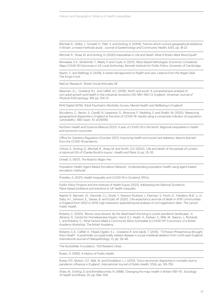Mitchell, R., Gibbs, J., Tunstall, H., Platt, S. and Dorling, D. (2009), '[Factors which nurture geographical resilience](https://www.dannydorling.org/?page_id=601)  [in Britain: a mixed methods study](https://www.dannydorling.org/?page_id=601)', *Journal of Epidemiology and Community Health,* 63(1), pp. 18-23.

Mitchell, R., Shaw, M. and Dorling, D. (2000) *[Inequalities in Life and Death: What If Britain Were More Equal?](http://www.dannydorling.org/?page_id=1474)*.

Morasaea, E.K., Ebrahimib, T., Mealy, P. and Coyle, D. (2021), *[Place-based Pathologies: Economic Complexity](https://www.bennettinstitute.cam.ac.uk/publications/Place-based-pathologies/)  [Maps COVID-19 Outcomes in UK Local Authorities](https://www.bennettinstitute.cam.ac.uk/publications/Place-based-pathologies/),* Bennett Institute for Public Policy, University of Cambridge.

Naylor, C. and Wellings, D. (2019), *[A citizen-led approach to health and care. Lessons from the Wigan Deal](https://www.kingsfund.org.uk/publications/wigan-deal),* The King's Fund.

NatCen Research, '[British Social Attitudes 38](https://www.bsa.natcen.ac.uk/)'.

Newman, S.L., Gowland, R.L. and Caffell, A.C. (2019), ['North and south: A comprehensive analysis of](https://dro.dur.ac.uk/28313/1/)  [non-adult growth and health in the industrial revolution \(AD 18th–19th C\), England'](https://dro.dur.ac.uk/28313/1/), *American Journal of Physical Anthropology,* 169, pp. 104–21.

NHS Digital (2016), ['Adult Psychiatric Morbidity Survey: Mental Health and Wellbeing in England'](https://www.gov.uk/government/statistics/adult-psychiatric-morbidity-survey-mental-health-and-wellbeing-england-2014).

Nicodemo, C., Barzin, S., Cavalli, N, Lasserson, D., Moscone, F., Redding, S. and Shaikh, M. (2020), ['Measuring](https://bmjopen.bmj.com/content/10/9/e039749)  [geographical disparities in England at the time of COVID-19: results using a composite indicator of population](https://bmjopen.bmj.com/content/10/9/e039749)  [vulnerability](https://bmjopen.bmj.com/content/10/9/e039749)', *BMJ Open,* 10: e039749.

Northern Health and Science Alliance (2021), *[A year of COVID-19 in the North: Regional inequalities in health](https://www.thenhsa.co.uk/app/uploads/2021/09/COVID-REPORT-2021-EMBARGO.pdf)  [and economic outcomes.](https://www.thenhsa.co.uk/app/uploads/2021/09/COVID-REPORT-2021-EMBARGO.pdf)*

Office for Statistics Regulation (October 2021), *[Improving health and social care statistics: lessons learned](https://osr.statisticsauthority.gov.uk/publication/improving-health-and-social-care-statistics-lessons-learned-from-the-covid-19-pandemic/)  [from the COVID-19 pandemic.](https://osr.statisticsauthority.gov.uk/publication/improving-health-and-social-care-statistics-lessons-learned-from-the-covid-19-pandemic/)*

Orford, S., Dorling, D., Mitchell, R., Shaw, M. and Smith, G.D. (2002), '[Life and death of the people of London:](http://www.dannydorling.org/?page_id=1826)  [a historical GIS of Charles Booth's inquiry'](http://www.dannydorling.org/?page_id=1826), *Health and Place,* 8, pp. 25–35.

Orwell, G. (1937), *The Road to Wigan Pier.*

Population Health Agent-Based Simulation Network, ['Understanding population health using agent-based](http://phasenetwork.org/)  [simulation methods'](http://phasenetwork.org/).

Priestley, A. (2021), *[Health Inequality and COVID-19 in Scotland](https://digitalpublications.parliament.scot/ResearchBriefings/Report/2021/3/23/ee202c60-93ad-4a27-a6e7-67613856ba24),* SPICe.

Public Policy Projects and the Institute of Health Equity (2021), *[Addressing the National Syndemic:](https://www.instituteofhealthequity.org/resources-reports/addressing-the-national-syndemic-place-based-problems-and-solutions-to-uk-health-inequality)  [Place-based problems and solutions to UK health inequality.](https://www.instituteofhealthequity.org/resources-reports/addressing-the-national-syndemic-place-based-problems-and-solutions-to-uk-health-inequality)*

Rashid, R., Bennett, J.E., Paciorek, C.J., Doyle, Y., Pearson-Stuttard, J., Flaxman, S., Fecht, D., Toledano, M.B., Li, G., Daby, H.I., Johnson, E., Davies, B. and Ezzati, M. (2021), ['Life expectancy and risk of death in 6791 communities](https://www.thelancet.com/journals/lanpub/article/PIIS2468-2667(21)00205-X/fulltext)  [in England from 2002 to 2019: high-resolution spatiotemporal analysis of civil registration data](https://www.thelancet.com/journals/lanpub/article/PIIS2468-2667(21)00205-X/fulltext)', *The Lancet Public Health.*

Roberts, C. (2020), ['Mortui vivos docent: let the dead teach the living in a post-pandemic landscape'](https://www.thebritishacademy.ac.uk/publications/covid-19-shape-the-future-what-factors-make-community-more-vulnerable/), in Abrams, D., Centre for Homelessness Impact, Hand, D.J., Heath, A., Karlsen, S., Mills, M., Nazroo, J., Richards, L. and Roberts, C., *What Factors Make a Community More Vulnerable to COVID-19? A summary of a British Academy Workshop.* The British Academy.

Roberts, C.A., Caffell, A., Filipek-Ogden, K.L., Gowland, R. and Jakob, T. (2016), '["Til Poison Phosphorous Brought](https://dro.dur.ac.uk/19368/)  [them Death"](https://dro.dur.ac.uk/19368/): A potentially occupationally-related disease in a post-medieval skeleton from north-east England', *International Journal of Paleopathology,* 13, pp. 39–48.

The Rockefeller Foundation, ['100 Resilient Cities'](https://www.rockefellerfoundation.org/100-resilient-cities/).

Rosen, G. (1993), *A History of Public Health.*

Rutter, P.D., Mytton, O.T., Mak, M. and Donaldson, L.J. (2012), '[Socio-economic disparities in mortality due to](https://pubmed.ncbi.nlm.nih.gov/22297400/)  [pandemic influenza in England](https://pubmed.ncbi.nlm.nih.gov/22297400/)', *International Journal of Public Health,* 57(4), pp. 745-750.

Shaw, M., Dorling, D. and Brimblecombe, N. (1998), ['Changing the map: health in Britain 1951–91'](http://www.dannydorling.org/?page_id=1458), *Sociology of Health and Illness,* 20, pp. 694–709.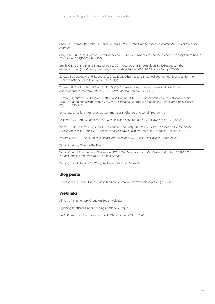Shaw, M., Thomas, B., Smith, G.D. and Dorling, D. (2008), *[The Grim Reaper's Road Map: An Atlas of Mortality](http://www.dannydorling.org/?page_id=1468) [in Britain](http://www.dannydorling.org/?page_id=1468).*

Singer, M., Bulled, N., Ostrach, B. and Mendenall, E., (2017), '[Syndemics and the biosocial conception of health](https://pubmed.ncbi.nlm.nih.gov/28271845/)', *The Lancet,* 389(10072): 941-950.

Smith, G.D., Dorling D. and Shaw, M. eds. (2001), 'George C.M. M'Gonigle (1888-1939) and J. Kirby (dates unknown)', in *Poverty, inequality and health in Britain: 1800-2000: A reader,* pp. 173-184.

Szreter, B., Cooper, H. and Szreter, S. (2019), ['Elizabethan lessons in ethical economics](https://www.bennettinstitute.cam.ac.uk/blog/elizabethan-lessons-ethical-economics/)', Blog post for the Bennett Institute for Public Policy, Cambridge.

Thomas, B., Dorling, D. and Davy Smith, G. (2010), '[Inequalities in premature mortality in Britain:](https://pubmed.ncbi.nlm.nih.gov/20650979/)  [observational study from 1921 to 2007](https://pubmed.ncbi.nlm.nih.gov/20650979/)', *British Medical Journal,* 341:c3639.

Tunstall, H., Mitchell, R., Gibbs, J., Platt, S. and Dorling, D. (2007), '[Is economic adversity always a killer?](https://www.ncbi.nlm.nih.gov/pmc/articles/PMC2652946/)  [Disadvantaged areas with relatively low mortality rates](https://www.ncbi.nlm.nih.gov/pmc/articles/PMC2652946/)', *Journal of Epidemiology and Community Health,* 61(4), pp. 337-343.

University of Salford, Manchester, ['Communities in Charge of Alcohol Programme'](http://hub.salford.ac.uk/communities-in-charge-of-alcohol/).

Vallance, C. (2021), '[GP data sharing: What is it and can I opt out?'](https://www.bbc.co.uk/news/technology-57555013), BBC News article, 22 June 2021.

Walsh, D., McCartney, G., Collins, C., Taulbut, M. and Batty, G.D. (2016), *[History, Politics and Vulnerability:](https://www.gcph.co.uk/publications/635_history_politics_and_vulnerability_explaining_excess_mortality)  [Explaining Excess Mortality in Scotland and Glasgow,](https://www.gcph.co.uk/publications/635_history_politics_and_vulnerability_explaining_excess_mortality)* Glasgow Centre for Population Health, pp. 8–10.

Whitty, C. (2021), *[Chief Medical Officer's Annual Report 2021: Health in Coastal Communities.](https://www.gov.uk/government/publications/chief-medical-officers-annual-report-2021-health-in-coastal-communities)*

Wigan Council, '[What is The Deal?](https://www.wigan.gov.uk/Council/The-Deal/The-Deal.aspx)'.

Wigan Council Environment Directorate (2021), *[Our Adaptation and Resilience Action Plan 2021-2026.](https://www.wigan.gov.uk/Council/Strategies-Plans-and-Policies/Climate-change-and-sustainability.aspx)  [Wigan Council's response to a changing climate.](https://www.wigan.gov.uk/Council/Strategies-Plans-and-Policies/Climate-change-and-sustainability.aspx)* 

Woods, R. and Shelton, N. (1997), *An Atlas of Victorian Mortality.*

#### **Blog posts**

Professor Paul Garner for the British Medical Journal on [his experiences of long COVID](https://blogs.bmj.com/bmj/2021/01/25/paul-garner-on-his-recovery-from-long-covid/).

#### **Weblinks**

[All-Party Parliamentary Group on Social Mobility](https://www.suttontrust.com/our-priorities/all-party-parliamentary-group-on-social-mobility/).

[Digitising Scotland. Understanding Scotland's People](https://digitisingscotland.ac.uk/).

[SAGE 87 minutes: Coronavrius \(COVID-19\) response, 22 April 2021.](https://www.gov.uk/government/publications/sage-87-minutes-coronavirus-covid-19-response-22-april-2021/sage-87-minutes-coronavirus-covid-19-response-22-april-2021)